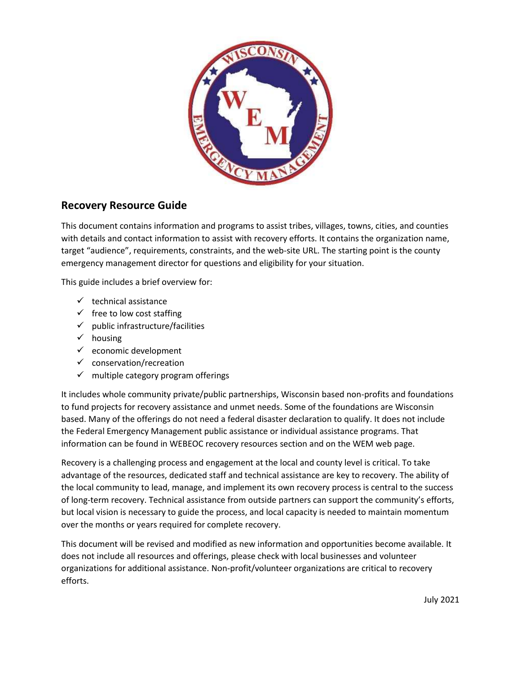

# **Recovery Resource Guide**

This document contains information and programs to assist tribes, villages, towns, cities, and counties with details and contact information to assist with recovery efforts. It contains the organization name, target "audience", requirements, constraints, and the web-site URL. The starting point is the county emergency management director for questions and eligibility for your situation.

This guide includes a brief overview for:

- $\checkmark$  technical assistance
- $\checkmark$  free to low cost staffing
- $\checkmark$  public infrastructure/facilities
- $\checkmark$  housing
- $\checkmark$  economic development
- $\checkmark$  conservation/recreation
- $\checkmark$  multiple category program offerings

It includes whole community private/public partnerships, Wisconsin based non-profits and foundations to fund projects for recovery assistance and unmet needs. Some of the foundations are Wisconsin based. Many of the offerings do not need a federal disaster declaration to qualify. It does not include the Federal Emergency Management public assistance or individual assistance programs. That information can be found in WEBEOC recovery resources section and on the WEM web page.

Recovery is a challenging process and engagement at the local and county level is critical. To take advantage of the resources, dedicated staff and technical assistance are key to recovery. The ability of the local community to lead, manage, and implement its own recovery process is central to the success of long-term recovery. Technical assistance from outside partners can support the community's efforts, but local vision is necessary to guide the process, and local capacity is needed to maintain momentum over the months or years required for complete recovery.

This document will be revised and modified as new information and opportunities become available. It does not include all resources and offerings, please check with local businesses and volunteer organizations for additional assistance. Non-profit/volunteer organizations are critical to recovery efforts.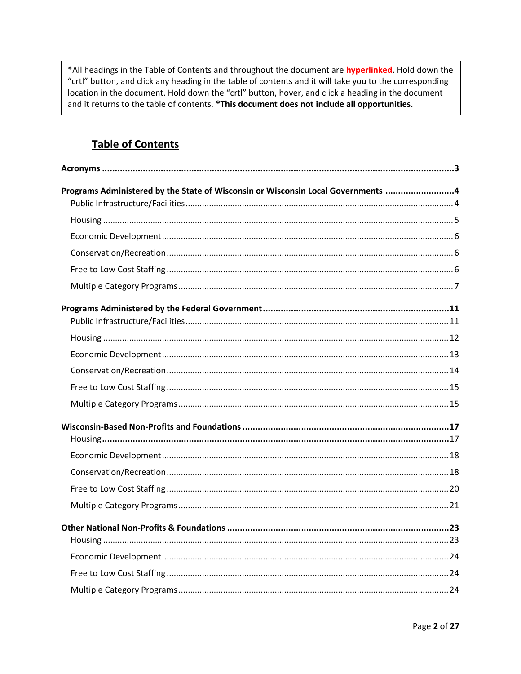\*All headings in the Table of Contents and throughout the document are **hyperlinked**. Hold down the "crtl" button, and click any heading in the table of contents and it will take you to the corresponding location in the document. Hold down the "crtl" button, hover, and click a heading in the document and it returns to the table of contents. \*This document does not include all opportunities.

# **Table of Contents**

| Programs Administered by the State of Wisconsin or Wisconsin Local Governments 4 |  |
|----------------------------------------------------------------------------------|--|
|                                                                                  |  |
|                                                                                  |  |
|                                                                                  |  |
|                                                                                  |  |
|                                                                                  |  |
|                                                                                  |  |
|                                                                                  |  |
|                                                                                  |  |
|                                                                                  |  |
|                                                                                  |  |
|                                                                                  |  |
|                                                                                  |  |
|                                                                                  |  |
|                                                                                  |  |
|                                                                                  |  |
|                                                                                  |  |
|                                                                                  |  |
|                                                                                  |  |
|                                                                                  |  |
|                                                                                  |  |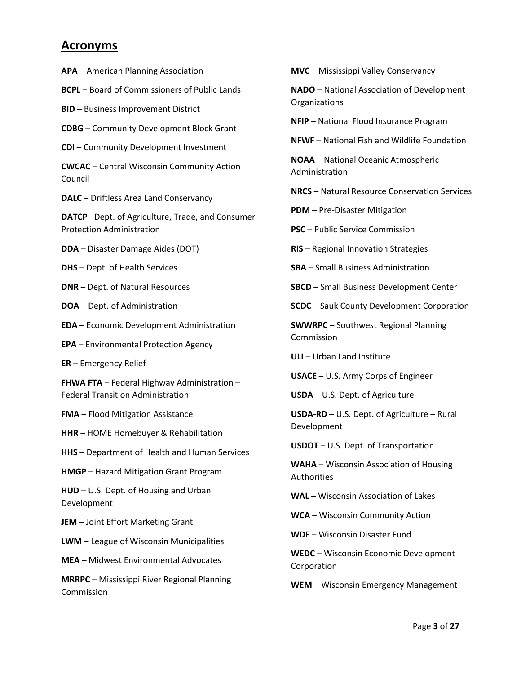# <span id="page-2-0"></span>**Acronyms**

**APA** – American Planning Association

**BCPL** – Board of Commissioners of Public Lands

**BID** – Business Improvement District

**CDBG** – Community Development Block Grant

**CDI** – Community Development Investment

**CWCAC** – Central Wisconsin Community Action Council

**DALC** – Driftless Area Land Conservancy

**DATCP** –Dept. of Agriculture, Trade, and Consumer Protection Administration

**DDA** – Disaster Damage Aides (DOT)

**DHS** – Dept. of Health Services

**DNR** – Dept. of Natural Resources

**DOA** – Dept. of Administration

**EDA** – Economic Development Administration

**EPA** – Environmental Protection Agency

**ER** – Emergency Relief

**FHWA FTA** – Federal Highway Administration – Federal Transition Administration

**FMA** – Flood Mitigation Assistance

**HHR** – HOME Homebuyer & Rehabilitation

**HHS** – Department of Health and Human Services

**HMGP** – Hazard Mitigation Grant Program

**HUD** – U.S. Dept. of Housing and Urban Development

**JEM** – Joint Effort Marketing Grant

**LWM** – League of Wisconsin Municipalities

**MEA** – Midwest Environmental Advocates

**MRRPC** – Mississippi River Regional Planning Commission

**MVC** – Mississippi Valley Conservancy

**NADO** – National Association of Development Organizations

**NFIP** – National Flood Insurance Program

**NFWF** – National Fish and Wildlife Foundation

**NOAA** – National Oceanic Atmospheric Administration

**NRCS** – Natural Resource Conservation Services

**PDM** – Pre-Disaster Mitigation

**PSC** – Public Service Commission

**RIS** – Regional Innovation Strategies

**SBA** – Small Business Administration

**SBCD** – Small Business Development Center

**SCDC** – Sauk County Development Corporation

**SWWRPC** – Southwest Regional Planning Commission

**ULI** – Urban Land Institute

**USACE** – U.S. Army Corps of Engineer

**USDA** – U.S. Dept. of Agriculture

**USDA-RD** – U.S. Dept. of Agriculture – Rural Development

**USDOT** – U.S. Dept. of Transportation

**WAHA** – Wisconsin Association of Housing Authorities

**WAL** – Wisconsin Association of Lakes

**WCA** – Wisconsin Community Action

**WDF** – Wisconsin Disaster Fund

**WEDC** – Wisconsin Economic Development Corporation

**WEM** – Wisconsin Emergency Management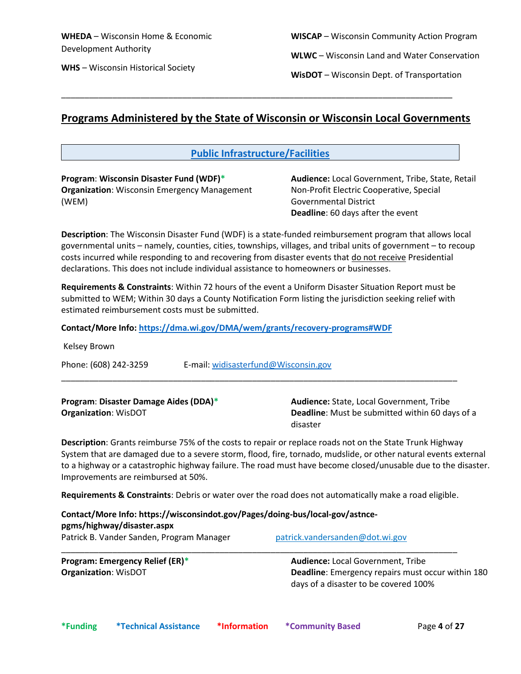**WHS** – Wisconsin Historical Society

**WISCAP** – Wisconsin Community Action Program

**WLWC** – Wisconsin Land and Water Conservation

**WisDOT** – Wisconsin Dept. of Transportation

# <span id="page-3-0"></span>**Programs Administered by the State of Wisconsin or Wisconsin Local Governments**

\_\_\_\_\_\_\_\_\_\_\_\_\_\_\_\_\_\_\_\_\_\_\_\_\_\_\_\_\_\_\_\_\_\_\_\_\_\_\_\_\_\_\_\_\_\_\_\_\_\_\_\_\_\_\_\_\_\_\_\_\_\_\_\_\_\_\_\_\_\_\_\_\_\_\_\_\_\_\_\_\_\_\_\_

# <span id="page-3-1"></span>**Public Infrastructure/Facilities**

**Program**: **Wisconsin Disaster Fund (WDF)\* Organization**: Wisconsin Emergency Management (WEM)

**Audience:** Local Government, Tribe, State, Retail Non-Profit Electric Cooperative, Special Governmental District **Deadline**: 60 days after the event

**Description**: The Wisconsin Disaster Fund (WDF) is a state-funded reimbursement program that allows local governmental units – namely, counties, cities, townships, villages, and tribal units of government – to recoup costs incurred while responding to and recovering from disaster events that do not receive Presidential declarations. This does not include individual assistance to homeowners or businesses.

**Requirements & Constraints**: Within 72 hours of the event a Uniform Disaster Situation Report must be submitted to WEM; Within 30 days a County Notification Form listing the jurisdiction seeking relief with estimated reimbursement costs must be submitted.

**Contact/More Info: <https://dma.wi.gov/DMA/wem/grants/recovery-programs#WDF>**

Kelsey Brown

Phone: (608) 242-3259 E-mail: [widisasterfund@Wisconsin.gov](mailto:widisasterfund@Wisconsin.gov) \_\_\_\_\_\_\_\_\_\_\_\_\_\_\_\_\_\_\_\_\_\_\_\_\_\_\_\_\_\_\_\_\_\_\_\_\_\_\_\_\_\_\_\_\_\_\_\_\_\_\_\_\_\_\_\_\_\_\_\_\_\_\_\_\_\_\_\_\_\_\_\_\_\_\_\_\_\_\_\_\_\_\_\_\_

**Program**: **Disaster Damage Aides (DDA)\* Organization**: WisDOT

**Audience:** State, Local Government, Tribe **Deadline**: Must be submitted within 60 days of a disaster

**Description**: Grants reimburse 75% of the costs to repair or replace roads not on the State Trunk Highway System that are damaged due to a severe storm, flood, fire, tornado, mudslide, or other natural events external to a highway or a catastrophic highway failure. The road must have become closed/unusable due to the disaster. Improvements are reimbursed at 50%.

**Requirements & Constraints**: Debris or water over the road does not automatically make a road eligible.

\_\_\_\_\_\_\_\_\_\_\_\_\_\_\_\_\_\_\_\_\_\_\_\_\_\_\_\_\_\_\_\_\_\_\_\_\_\_\_\_\_\_\_\_\_\_\_\_\_\_\_\_\_\_\_\_\_\_\_\_\_\_\_\_\_\_\_\_\_\_\_\_\_\_\_\_\_\_\_\_\_\_\_\_\_

| Contact/More Info: https://wisconsindot.gov/Pages/doing-bus/local-gov/astnce- |                                 |
|-------------------------------------------------------------------------------|---------------------------------|
| pgms/highway/disaster.aspx                                                    |                                 |
| Patrick B. Vander Sanden, Program Manager                                     | patrick.vandersanden@dot.wi.gov |

**Program: Emergency Relief (ER)\* Organization**: WisDOT

**Audience:** Local Government, Tribe **Deadline**: Emergency repairs must occur within 180 days of a disaster to be covered 100%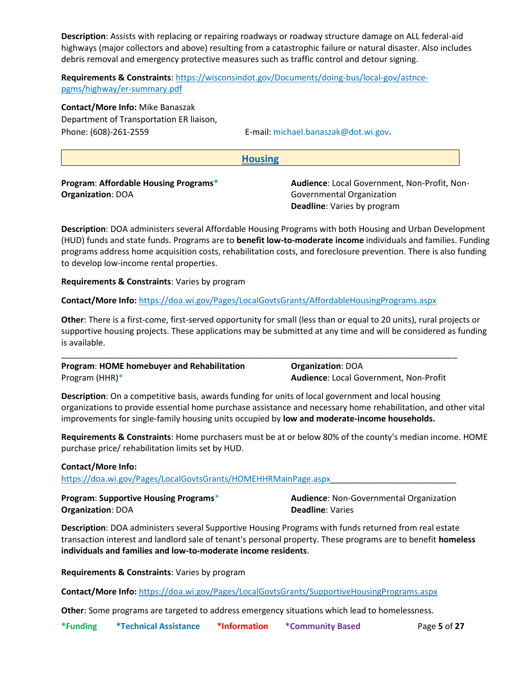**Description**: Assists with replacing or repairing roadways or roadway structure damage on ALL federal-aid highways (major collectors and above) resulting from a catastrophic failure or natural disaster. Also includes debris removal and emergency protective measures such as traffic control and detour signing.

**Requirements & Constraints**[: https://wisconsindot.gov/Documents/doing-bus/local-gov/astnce](https://wisconsindot.gov/Documents/doing-bus/local-gov/astnce-pgms/highway/er-summary.pdf)[pgms/highway/er-summary.pdf](https://wisconsindot.gov/Documents/doing-bus/local-gov/astnce-pgms/highway/er-summary.pdf)

**Contact/More Info:** Mike Banaszak Department of Transportation ER liaison, Phone: (608)-261-2559 E-mail: michael.banaszak@dot.wi.gov**.**

#### <span id="page-4-0"></span>**Housing**

**Program**: **Affordable Housing Programs\* Organization**: DOA

**Audience**: Local Government, Non-Profit, Non-Governmental Organization **Deadline**: Varies by program

**Description**: DOA administers several Affordable Housing Programs with both Housing and Urban Development (HUD) funds and state funds. Programs are to **benefit low-to-moderate income** individuals and families. Funding programs address home acquisition costs, rehabilitation costs, and foreclosure prevention. There is also funding to develop low-income rental properties.

**Requirements & Constraints**: Varies by program

### **Contact/More Info:** <https://doa.wi.gov/Pages/LocalGovtsGrants/AffordableHousingPrograms.aspx>

**Other**: There is a first-come, first-served opportunity for small (less than or equal to 20 units), rural projects or supportive housing projects. These applications may be submitted at any time and will be considered as funding is available.

\_\_\_\_\_\_\_\_\_\_\_\_\_\_\_\_\_\_\_\_\_\_\_\_\_\_\_\_\_\_\_\_\_\_\_\_\_\_\_\_\_\_\_\_\_\_\_\_\_\_\_\_\_\_\_\_\_\_\_\_\_\_\_\_\_\_\_\_\_\_\_\_\_\_\_\_\_\_\_\_\_\_\_\_\_

**Program**: **HOME homebuyer and Rehabilitation** Program (HHR)\*

**Organization**: DOA **Audience**: Local Government, Non-Profit

**Description**: On a competitive basis, awards funding for units of local government and local housing organizations to provide essential home purchase assistance and necessary home rehabilitation, and other vital improvements for single-family housing units occupied by **low and moderate-income households.**

**Requirements & Constraints**: Home purchasers must be at or below 80% of the county's median income. HOME purchase price/ rehabilitation limits set by HUD.

### **Contact/More Info:**

https://doa.wi.gov/Pages/LocalGovtsGrants/HOMEHHRMainPage.aspx

**Program**: **Supportive Housing Programs**\* **Organization**: DOA

**Audience**: Non-Governmental Organization **Deadline**: Varies

**Description**: DOA administers several Supportive Housing Programs with funds returned from real estate transaction interest and landlord sale of tenant's personal property. These programs are to benefit **homeless individuals and families and low-to-moderate income residents**.

**Requirements & Constraints**: Varies by program

**Contact/More Info:** <https://doa.wi.gov/Pages/LocalGovtsGrants/SupportiveHousingPrograms.aspx>

**Other**: Some programs are targeted to address emergency situations which lead to homelessness.

**\*Funding \*Technical Assistance \*Information \*Community Based** Page **5** of **27**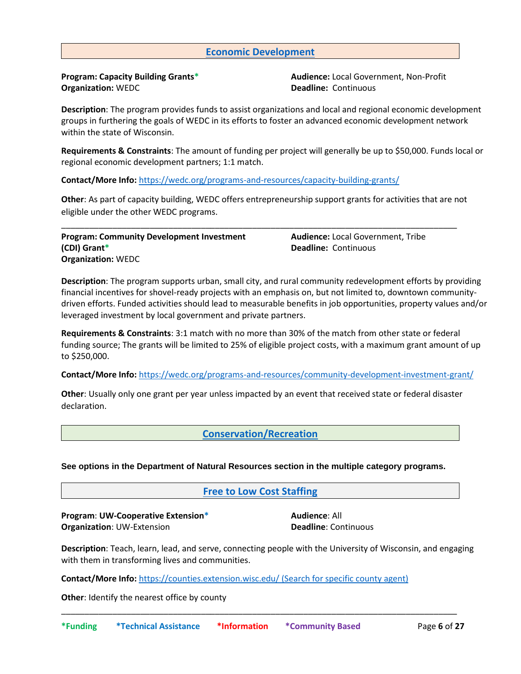# <span id="page-5-0"></span>**Economic Development**

**Program: Capacity Building Grants\* Organization:** WEDC

**Audience:** Local Government, Non-Profit **Deadline:** Continuous

**Description**: The program provides funds to assist organizations and local and regional economic development groups in furthering the goals of WEDC in its efforts to foster an advanced economic development network within the state of Wisconsin.

**Requirements & Constraints**: The amount of funding per project will generally be up to \$50,000. Funds local or regional economic development partners; 1:1 match.

**Contact/More Info:** <https://wedc.org/programs-and-resources/capacity-building-grants/>

**Other**: As part of capacity building, WEDC offers entrepreneurship support grants for activities that are not eligible under the other WEDC programs.

\_\_\_\_\_\_\_\_\_\_\_\_\_\_\_\_\_\_\_\_\_\_\_\_\_\_\_\_\_\_\_\_\_\_\_\_\_\_\_\_\_\_\_\_\_\_\_\_\_\_\_\_\_\_\_\_\_\_\_\_\_\_\_\_\_\_\_\_\_\_\_\_\_\_\_\_\_\_\_\_\_\_\_\_\_

**Program: Community Development Investment (CDI) Grant\* Organization:** WEDC

**Audience:** Local Government, Tribe **Deadline:** Continuous

**Description**: The program supports urban, small city, and rural community redevelopment efforts by providing financial incentives for shovel-ready projects with an emphasis on, but not limited to, downtown communitydriven efforts. Funded activities should lead to measurable benefits in job opportunities, property values and/or leveraged investment by local government and private partners.

**Requirements & Constraints**: 3:1 match with no more than 30% of the match from other state or federal funding source; The grants will be limited to 25% of eligible project costs, with a maximum grant amount of up to \$250,000.

**Contact/More Info:** <https://wedc.org/programs-and-resources/community-development-investment-grant/>

**Other**: Usually only one grant per year unless impacted by an event that received state or federal disaster declaration.

<span id="page-5-1"></span>**Conservation/Recreation**

**See options in the Department of Natural Resources section in the multiple category programs.**

<span id="page-5-2"></span>**Free to Low Cost Staffing**

**Program**: **UW-Cooperative Extension\* Organization**: UW-Extension

**Audience**: All **Deadline**: Continuous

**Description**: Teach, learn, lead, and serve, connecting people with the University of Wisconsin, and engaging with them in transforming lives and communities.

\_\_\_\_\_\_\_\_\_\_\_\_\_\_\_\_\_\_\_\_\_\_\_\_\_\_\_\_\_\_\_\_\_\_\_\_\_\_\_\_\_\_\_\_\_\_\_\_\_\_\_\_\_\_\_\_\_\_\_\_\_\_\_\_\_\_\_\_\_\_\_\_\_\_\_\_\_\_\_\_\_\_\_\_\_

**Contact/More Info:** <https://counties.extension.wisc.edu/> (Search for specific county agent)

**Other**: Identify the nearest office by county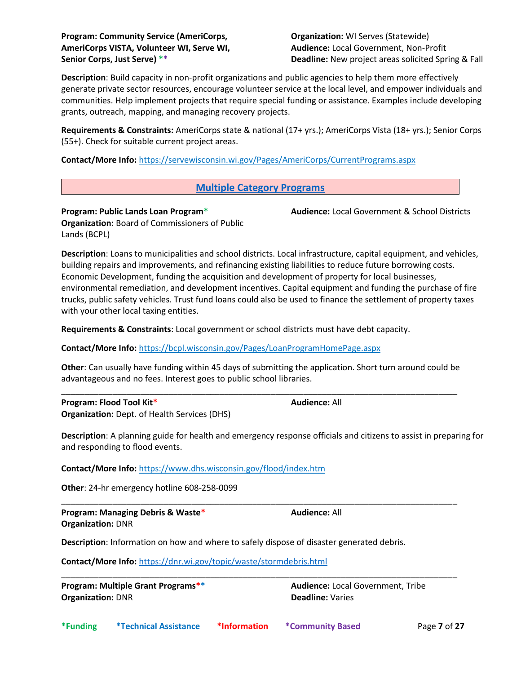**Organization:** WI Serves (Statewide) **Audience:** Local Government, Non-Profit **Deadline:** New project areas solicited Spring & Fall

**Audience:** Local Government & School Districts

**Description**: Build capacity in non-profit organizations and public agencies to help them more effectively generate private sector resources, encourage volunteer service at the local level, and empower individuals and communities. Help implement projects that require special funding or assistance. Examples include developing grants, outreach, mapping, and managing recovery projects.

**Requirements & Constraints:** AmeriCorps state & national (17+ yrs.); AmeriCorps Vista (18+ yrs.); Senior Corps (55+). Check for suitable current project areas.

**Contact/More Info:** https://servewisconsin.wi.gov/Pages/AmeriCorps/CurrentPrograms.aspx

# <span id="page-6-0"></span>**Multiple Category Programs**

**Program: Public Lands Loan Program\* Organization:** Board of Commissioners of Public Lands (BCPL)

**Description**: Loans to municipalities and school districts. Local infrastructure, capital equipment, and vehicles, building repairs and improvements, and refinancing existing liabilities to reduce future borrowing costs. Economic Development, funding the acquisition and development of property for local businesses, environmental remediation, and development incentives. Capital equipment and funding the purchase of fire trucks, public safety vehicles. Trust fund loans could also be used to finance the settlement of property taxes with your other local taxing entities.

**Requirements & Constraints**: Local government or school districts must have debt capacity.

**Contact/More Info:** <https://bcpl.wisconsin.gov/Pages/LoanProgramHomePage.aspx>

**Other**: Can usually have funding within 45 days of submitting the application. Short turn around could be advantageous and no fees. Interest goes to public school libraries.

\_\_\_\_\_\_\_\_\_\_\_\_\_\_\_\_\_\_\_\_\_\_\_\_\_\_\_\_\_\_\_\_\_\_\_\_\_\_\_\_\_\_\_\_\_\_\_\_\_\_\_\_\_\_\_\_\_\_\_\_\_\_\_\_\_\_\_\_\_\_\_\_\_\_\_\_\_\_\_\_\_\_\_\_\_

\_\_\_\_\_\_\_\_\_\_\_\_\_\_\_\_\_\_\_\_\_\_\_\_\_\_\_\_\_\_\_\_\_\_\_\_\_\_\_\_\_\_\_\_\_\_\_\_\_\_\_\_\_\_\_\_\_\_\_\_\_\_\_\_\_\_\_\_\_\_\_\_\_\_\_\_\_\_\_\_\_\_\_\_\_

\_\_\_\_\_\_\_\_\_\_\_\_\_\_\_\_\_\_\_\_\_\_\_\_\_\_\_\_\_\_\_\_\_\_\_\_\_\_\_\_\_\_\_\_\_\_\_\_\_\_\_\_\_\_\_\_\_\_\_\_\_\_\_\_\_\_\_\_\_\_\_\_\_\_\_\_\_\_\_\_\_\_\_\_\_

**Program: Flood Tool Kit\* Organization:** Dept. of Health Services (DHS)

**Description**: A planning guide for health and emergency response officials and citizens to assist in preparing for and responding to flood events.

**Contact/More Info:** <https://www.dhs.wisconsin.gov/flood/index.htm>

**Other**: 24-hr emergency hotline 608-258-0099

**Program: Managing Debris & Waste\* Organization:** DNR

**Description**: Information on how and where to safely dispose of disaster generated debris.

**Contact/More Info:** <https://dnr.wi.gov/topic/waste/stormdebris.html>

**Program: Multiple Grant Programs\*\* Organization:** DNR

**Audience:** Local Government, Tribe **Deadline:** Varies

**Audience:** All

**Audience:** All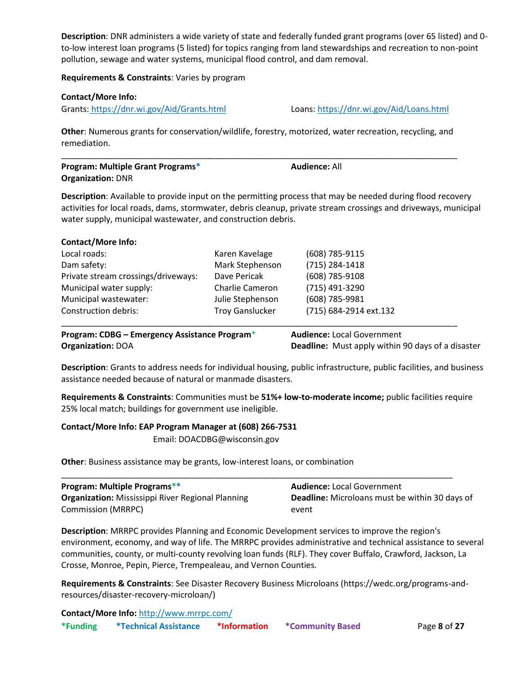**Description**: DNR administers a wide variety of state and federally funded grant programs (over 65 listed) and 0 to-low interest loan programs (5 listed) for topics ranging from land stewardships and recreation to non-point pollution, sewage and water systems, municipal flood control, and dam removal.

**Requirements & Constraints**: Varies by program

# **Contact/More Info:**

Grants: <https://dnr.wi.gov/Aid/Grants.html> Loans:<https://dnr.wi.gov/Aid/Loans.html>

**Other**: Numerous grants for conservation/wildlife, forestry, motorized, water recreation, recycling, and remediation.

| <b>Program: Multiple Grant Programs*</b> | <b>Audience: All</b> |  |
|------------------------------------------|----------------------|--|
| <b>Organization: DNR</b>                 |                      |  |

**Description**: Available to provide input on the permitting process that may be needed during flood recovery activities for local roads, dams, stormwater, debris cleanup, private stream crossings and driveways, municipal water supply, municipal wastewater, and construction debris.

| <b>Contact/More Info:</b>           |                        |                        |  |
|-------------------------------------|------------------------|------------------------|--|
| Local roads:                        | Karen Kavelage         | (608) 785-9115         |  |
| Dam safety:                         | Mark Stephenson        | (715) 284-1418         |  |
| Private stream crossings/driveways: | Dave Pericak           | (608) 785-9108         |  |
| Municipal water supply:             | <b>Charlie Cameron</b> | (715) 491-3290         |  |
| Municipal wastewater:               | Julie Stephenson       | (608) 785-9981         |  |
| <b>Construction debris:</b>         | <b>Troy Ganslucker</b> | (715) 684-2914 ext.132 |  |
|                                     |                        |                        |  |

**Program: CDBG – Emergency Assistance Program**\* **Organization:** DOA **Audience:** Local Government **Deadline:** Must apply within 90 days of a disaster

**Description**: Grants to address needs for individual housing, public infrastructure, public facilities, and business assistance needed because of natural or manmade disasters.

**Requirements & Constraints**: Communities must be **51%+ low-to-moderate income;** public facilities require 25% local match; buildings for government use ineligible.

# **Contact/More Info: EAP Program Manager at (608) 266-7531**

Email: DOACDBG@wisconsin.gov

**Other**: Business assistance may be grants, low-interest loans, or combination

| <b>Program: Multiple Programs**</b>                      | <b>Audience: Local Government</b>                     |
|----------------------------------------------------------|-------------------------------------------------------|
| <b>Organization:</b> Mississippi River Regional Planning | <b>Deadline:</b> Microloans must be within 30 days of |
| <b>Commission (MRRPC)</b>                                | event                                                 |

**Description**: MRRPC provides Planning and Economic Development services to improve the region's environment, economy, and way of life. The MRRPC provides administrative and technical assistance to several communities, county, or multi-county revolving loan funds (RLF). They cover Buffalo, Crawford, Jackson, La Crosse, Monroe, Pepin, Pierce, Trempealeau, and Vernon Counties.

**Requirements & Constraints**: See Disaster Recovery Business Microloans (https://wedc.org/programs-andresources/disaster-recovery-microloan/)

**Contact/More Info:** <http://www.mrrpc.com/>

| *Funding | <i><b>*Technical Assistance</b></i> | *Information | <b>*Community Based</b> |
|----------|-------------------------------------|--------------|-------------------------|
|----------|-------------------------------------|--------------|-------------------------|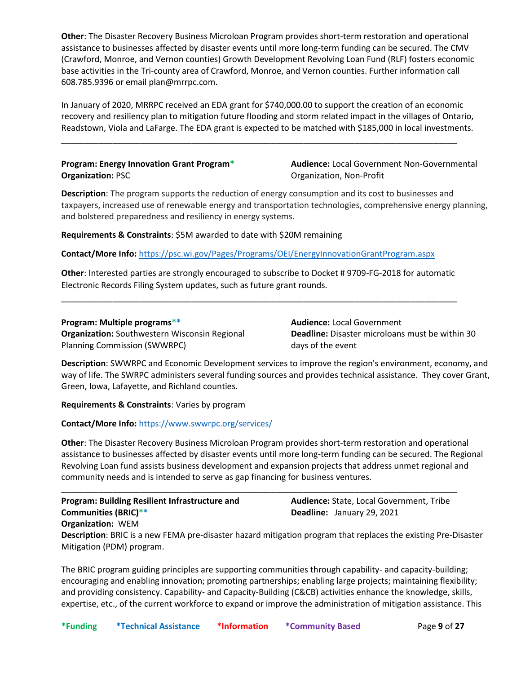**Other**: The Disaster Recovery Business Microloan Program provides short-term restoration and operational assistance to businesses affected by disaster events until more long-term funding can be secured. The CMV (Crawford, Monroe, and Vernon counties) Growth Development Revolving Loan Fund (RLF) fosters economic base activities in the Tri-county area of Crawford, Monroe, and Vernon counties. Further information call 608.785.9396 or email plan@mrrpc.com.

In January of 2020, MRRPC received an EDA grant for \$740,000.00 to support the creation of an economic recovery and resiliency plan to mitigation future flooding and storm related impact in the villages of Ontario, Readstown, Viola and LaFarge. The EDA grant is expected to be matched with \$185,000 in local investments.

\_\_\_\_\_\_\_\_\_\_\_\_\_\_\_\_\_\_\_\_\_\_\_\_\_\_\_\_\_\_\_\_\_\_\_\_\_\_\_\_\_\_\_\_\_\_\_\_\_\_\_\_\_\_\_\_\_\_\_\_\_\_\_\_\_\_\_\_\_\_\_\_\_\_\_\_\_\_\_\_\_\_\_\_\_

# **Program: Energy Innovation Grant Program\* Organization:** PSC

**Audience:** Local Government Non-Governmental Organization, Non-Profit

**Description**: The program supports the reduction of energy consumption and its cost to businesses and taxpayers, increased use of renewable energy and transportation technologies, comprehensive energy planning, and bolstered preparedness and resiliency in energy systems.

**Requirements & Constraints**: \$5M awarded to date with \$20M remaining

**Contact/More Info:** <https://psc.wi.gov/Pages/Programs/OEI/EnergyInnovationGrantProgram.aspx>

**Other**: Interested parties are strongly encouraged to subscribe to Docket # 9709-FG-2018 for automatic Electronic Records Filing System updates, such as future grant rounds.

\_\_\_\_\_\_\_\_\_\_\_\_\_\_\_\_\_\_\_\_\_\_\_\_\_\_\_\_\_\_\_\_\_\_\_\_\_\_\_\_\_\_\_\_\_\_\_\_\_\_\_\_\_\_\_\_\_\_\_\_\_\_\_\_\_\_\_\_\_\_\_\_\_\_\_\_\_\_\_\_\_\_\_\_\_

# **Program: Multiple programs\*\***

**Organization:** Southwestern Wisconsin Regional Planning Commission (SWWRPC)

**Audience:** Local Government **Deadline:** Disaster microloans must be within 30 days of the event

**Description**: SWWRPC and Economic Development services to improve the region's environment, economy, and way of life. The SWRPC administers several funding sources and provides technical assistance. They cover Grant, Green, Iowa, Lafayette, and Richland counties.

**Requirements & Constraints**: Varies by program

**Contact/More Info:** <https://www.swwrpc.org/services/>

**Other**: The Disaster Recovery Business Microloan Program provides short-term restoration and operational assistance to businesses affected by disaster events until more long-term funding can be secured. The Regional Revolving Loan fund assists business development and expansion projects that address unmet regional and community needs and is intended to serve as gap financing for business ventures.

\_\_\_\_\_\_\_\_\_\_\_\_\_\_\_\_\_\_\_\_\_\_\_\_\_\_\_\_\_\_\_\_\_\_\_\_\_\_\_\_\_\_\_\_\_\_\_\_\_\_\_\_\_\_\_\_\_\_\_\_\_\_\_\_\_\_\_\_\_\_\_\_\_\_\_\_\_\_\_\_\_\_\_\_\_

**Program: Building Resilient Infrastructure and Communities (BRIC)\*\***

**Audience:** State, Local Government, Tribe **Deadline:** January 29, 2021

**Organization:** WEM

**Description**: BRIC is a new FEMA pre-disaster hazard mitigation program that replaces the existing Pre-Disaster Mitigation (PDM) program.

The BRIC program guiding principles are supporting communities through capability- and capacity-building; encouraging and enabling innovation; promoting partnerships; enabling large projects; maintaining flexibility; and providing consistency. Capability- and Capacity-Building (C&CB) activities enhance the knowledge, skills, expertise, etc., of the current workforce to expand or improve the administration of mitigation assistance. This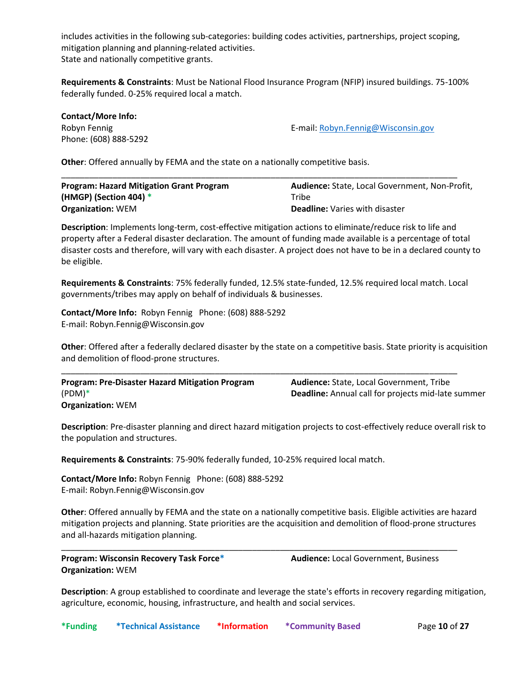includes activities in the following sub-categories: building codes activities, partnerships, project scoping, mitigation planning and planning-related activities. State and nationally competitive grants.

**Requirements & Constraints**: Must be National Flood Insurance Program (NFIP) insured buildings. 75-100% federally funded. 0-25% required local a match.

| <b>Contact/More Info:</b> |                                    |
|---------------------------|------------------------------------|
| Robyn Fennig              | E-mail: Robyn.Fennig@Wisconsin.gov |
| Phone: (608) 888-5292     |                                    |

**Other**: Offered annually by FEMA and the state on a nationally competitive basis.

| <b>Program: Hazard Mitigation Grant Program</b> | <b>Audience:</b> State, Local Government, Non-Profit, |
|-------------------------------------------------|-------------------------------------------------------|
| (HMGP) (Section 404) $*$                        | Tribe                                                 |
| <b>Organization: WEM</b>                        | <b>Deadline: Varies with disaster</b>                 |

**Description**: Implements long-term, cost-effective mitigation actions to eliminate/reduce risk to life and property after a Federal disaster declaration. The amount of funding made available is a percentage of total disaster costs and therefore, will vary with each disaster. A project does not have to be in a declared county to be eligible.

**Requirements & Constraints**: 75% federally funded, 12.5% state-funded, 12.5% required local match. Local governments/tribes may apply on behalf of individuals & businesses.

**Contact/More Info:** Robyn Fennig Phone: (608) 888-5292 E-mail: Robyn.Fennig@Wisconsin.gov

**Other**: Offered after a federally declared disaster by the state on a competitive basis. State priority is acquisition and demolition of flood-prone structures.

| <b>Program: Pre-Disaster Hazard Mitigation Program</b> | <b>Audience:</b> State, Local Government, Tribe           |
|--------------------------------------------------------|-----------------------------------------------------------|
| $(PDM)*$                                               | <b>Deadline:</b> Annual call for projects mid-late summer |
| <b>Organization: WEM</b>                               |                                                           |

**Description**: Pre-disaster planning and direct hazard mitigation projects to cost-effectively reduce overall risk to the population and structures.

**Requirements & Constraints**: 75-90% federally funded, 10-25% required local match.

**Contact/More Info:** Robyn Fennig Phone: (608) 888-5292 E-mail: Robyn.Fennig@Wisconsin.gov

**Other**: Offered annually by FEMA and the state on a nationally competitive basis. Eligible activities are hazard mitigation projects and planning. State priorities are the acquisition and demolition of flood-prone structures and all-hazards mitigation planning.

\_\_\_\_\_\_\_\_\_\_\_\_\_\_\_\_\_\_\_\_\_\_\_\_\_\_\_\_\_\_\_\_\_\_\_\_\_\_\_\_\_\_\_\_\_\_\_\_\_\_\_\_\_\_\_\_\_\_\_\_\_\_\_\_\_\_\_\_\_\_\_\_\_\_\_\_\_\_\_\_\_\_\_\_\_

**Program: Wisconsin Recovery Task Force\* Organization:** WEM

**Audience:** Local Government, Business

**Description**: A group established to coordinate and leverage the state's efforts in recovery regarding mitigation, agriculture, economic, housing, infrastructure, and health and social services.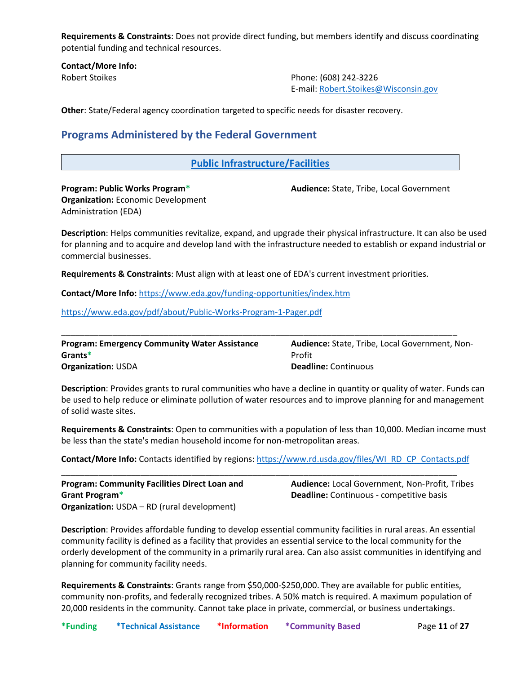**Requirements & Constraints**: Does not provide direct funding, but members identify and discuss coordinating potential funding and technical resources.

**Contact/More Info:**

Robert Stoikes Phone: (608) 242-3226 E-mail: [Robert.Stoikes@Wisconsin.gov](mailto:Robert.Stoikes@Wisconsin.gov)

<span id="page-10-0"></span>**Other**: State/Federal agency coordination targeted to specific needs for disaster recovery.

# **Programs Administered by the Federal Government**

# <span id="page-10-1"></span>**Public Infrastructure/Facilities**

**Program: Public Works Program\* Organization:** Economic Development Administration (EDA)

**Audience:** State, Tribe, Local Government

**Description**: Helps communities revitalize, expand, and upgrade their physical infrastructure. It can also be used for planning and to acquire and develop land with the infrastructure needed to establish or expand industrial or commercial businesses.

**Requirements & Constraints**: Must align with at least one of EDA's current investment priorities.

**Contact/More Info:** <https://www.eda.gov/funding-opportunities/index.htm>

<https://www.eda.gov/pdf/about/Public-Works-Program-1-Pager.pdf>

| <b>Program: Emergency Community Water Assistance</b> | <b>Audience:</b> State, Tribe, Local Government, Non- |
|------------------------------------------------------|-------------------------------------------------------|
| Grants*                                              | Profit                                                |
| <b>Organization: USDA</b>                            | <b>Deadline:</b> Continuous                           |

**Description**: Provides grants to rural communities who have a decline in quantity or quality of water. Funds can be used to help reduce or eliminate pollution of water resources and to improve planning for and management of solid waste sites.

**Requirements & Constraints**: Open to communities with a population of less than 10,000. Median income must be less than the state's median household income for non-metropolitan areas.

**Contact/More Info:** Contacts identified by regions[: https://www.rd.usda.gov/files/WI\\_RD\\_CP\\_Contacts.pdf](https://www.rd.usda.gov/files/WI_RD_CP_Contacts.pdf)

\_\_\_\_\_\_\_\_\_\_\_\_\_\_\_\_\_\_\_\_\_\_\_\_\_\_\_\_\_\_\_\_\_\_\_\_\_\_\_\_\_\_\_\_\_\_\_\_\_\_\_\_\_\_\_\_\_\_\_\_\_\_\_\_\_\_\_\_\_\_\_\_\_\_\_\_\_\_\_\_\_\_\_\_\_

**Program: Community Facilities Direct Loan and Grant Program\* Organization:** USDA – RD (rural development) **Audience:** Local Government, Non-Profit, Tribes **Deadline:** Continuous - competitive basis

**Description**: Provides affordable funding to develop essential community facilities in rural areas. An essential community facility is defined as a facility that provides an essential service to the local community for the orderly development of the community in a primarily rural area. Can also assist communities in identifying and planning for community facility needs.

**Requirements & Constraints**: Grants range from \$50,000-\$250,000. They are available for public entities, community non-profits, and federally recognized tribes. A 50% match is required. A maximum population of 20,000 residents in the community. Cannot take place in private, commercial, or business undertakings.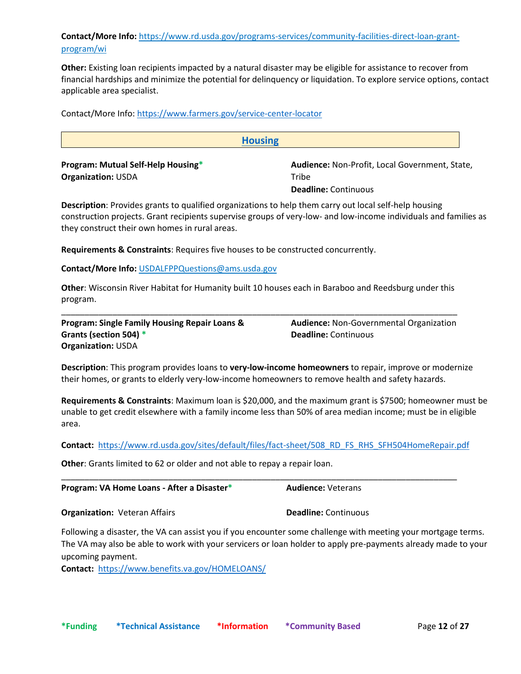# **Contact/More Info:** [https://www.rd.usda.gov/programs-services/community-facilities-direct-loan-grant](https://www.rd.usda.gov/programs-services/community-facilities-direct-loan-grant-program/wi)[program/wi](https://www.rd.usda.gov/programs-services/community-facilities-direct-loan-grant-program/wi)

**Other:** Existing loan recipients impacted by a natural disaster may be eligible for assistance to recover from financial hardships and minimize the potential for delinquency or liquidation. To explore service options, contact applicable area specialist.

<span id="page-11-0"></span>**Housing Program: Mutual Self-Help Housing\* Organization:** USDA **Audience:** Non-Profit, Local Government, State, **Tribe Deadline:** Continuous

**Description**: Provides grants to qualified organizations to help them carry out local self-help housing construction projects. Grant recipients supervise groups of very-low- and low-income individuals and families as they construct their own homes in rural areas.

**Requirements & Constraints**: Requires five houses to be constructed concurrently.

**Contact/More Info:** [USDALFPPQuestions@ams.usda.gov](mailto:USDALFPPQuestions@ams.usda.gov)

Contact/More Info:<https://www.farmers.gov/service-center-locator>

**Other**: Wisconsin River Habitat for Humanity built 10 houses each in Baraboo and Reedsburg under this program.

\_\_\_\_\_\_\_\_\_\_\_\_\_\_\_\_\_\_\_\_\_\_\_\_\_\_\_\_\_\_\_\_\_\_\_\_\_\_\_\_\_\_\_\_\_\_\_\_\_\_\_\_\_\_\_\_\_\_\_\_\_\_\_\_\_\_\_\_\_\_\_\_\_\_\_\_\_\_\_\_\_\_\_\_\_

**Program: Single Family Housing Repair Loans & Grants (section 504) \* Organization:** USDA

**Audience:** Non-Governmental Organization **Deadline:** Continuous

**Description**: This program provides loans to **very-low-income homeowners** to repair, improve or modernize their homes, or grants to elderly very-low-income homeowners to remove health and safety hazards.

**Requirements & Constraints**: Maximum loan is \$20,000, and the maximum grant is \$7500; homeowner must be unable to get credit elsewhere with a family income less than 50% of area median income; must be in eligible area.

**Contact:** [https://www.rd.usda.gov/sites/default/files/fact-sheet/508\\_RD\\_FS\\_RHS\\_SFH504HomeRepair.pdf](https://www.rd.usda.gov/sites/default/files/fact-sheet/508_RD_FS_RHS_SFH504HomeRepair.pdf)

\_\_\_\_\_\_\_\_\_\_\_\_\_\_\_\_\_\_\_\_\_\_\_\_\_\_\_\_\_\_\_\_\_\_\_\_\_\_\_\_\_\_\_\_\_\_\_\_\_\_\_\_\_\_\_\_\_\_\_\_\_\_\_\_\_\_\_\_\_\_\_\_\_\_\_\_\_\_\_\_\_\_\_\_\_

**Other**: Grants limited to 62 or older and not able to repay a repair loan.

**Program: VA Home Loans - After a Disaster\* Audience:** Veterans

**Organization:** Veteran Affairs **Deadline:** Continuous

Following a disaster, the VA can assist you if you encounter some challenge with meeting your mortgage terms. The VA may also be able to work with your servicers or loan holder to apply pre-payments already made to your upcoming payment.

**Contact:** <https://www.benefits.va.gov/HOMELOANS/>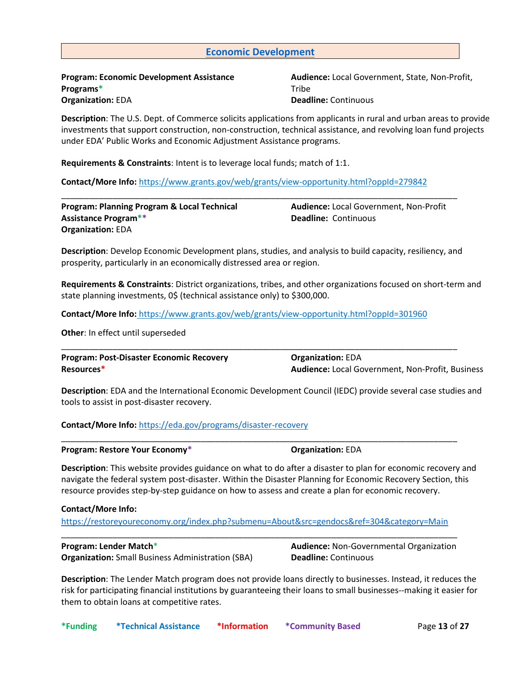# <span id="page-12-0"></span>**Economic Development**

**Program: Economic Development Assistance Programs\* Organization:** EDA

**Audience:** Local Government, State, Non-Profit, Tribe **Deadline:** Continuous

**Description**: The U.S. Dept. of Commerce solicits applications from applicants in rural and urban areas to provide investments that support construction, non-construction, technical assistance, and revolving loan fund projects under EDA' Public Works and Economic Adjustment Assistance programs.

**Requirements & Constraints**: Intent is to leverage local funds; match of 1:1.

**Contact/More Info:** <https://www.grants.gov/web/grants/view-opportunity.html?oppId=279842>

| <b>Program: Planning Program &amp; Local Technical</b> |
|--------------------------------------------------------|
| <b>Assistance Program**</b>                            |
| <b>Organization: EDA</b>                               |

**Audience:** Local Government, Non-Profit **Deadline:** Continuous

**Description**: Develop Economic Development plans, studies, and analysis to build capacity, resiliency, and prosperity, particularly in an economically distressed area or region.

\_\_\_\_\_\_\_\_\_\_\_\_\_\_\_\_\_\_\_\_\_\_\_\_\_\_\_\_\_\_\_\_\_\_\_\_\_\_\_\_\_\_\_\_\_\_\_\_\_\_\_\_\_\_\_\_\_\_\_\_\_\_\_\_\_\_\_\_\_\_\_\_\_\_\_\_\_\_\_\_\_\_\_\_\_

**Requirements & Constraints**: District organizations, tribes, and other organizations focused on short-term and state planning investments, 0\$ (technical assistance only) to \$300,000.

**Contact/More Info:** <https://www.grants.gov/web/grants/view-opportunity.html?oppId=301960>

**Other**: In effect until superseded

**Program: Post-Disaster Economic Recovery Resources\* Organization:** EDA **Audience:** Local Government, Non-Profit, Business

\_\_\_\_\_\_\_\_\_\_\_\_\_\_\_\_\_\_\_\_\_\_\_\_\_\_\_\_\_\_\_\_\_\_\_\_\_\_\_\_\_\_\_\_\_\_\_\_\_\_\_\_\_\_\_\_\_\_\_\_\_\_\_\_\_\_\_\_\_\_\_\_\_\_\_\_\_\_\_\_\_\_\_\_\_

\_\_\_\_\_\_\_\_\_\_\_\_\_\_\_\_\_\_\_\_\_\_\_\_\_\_\_\_\_\_\_\_\_\_\_\_\_\_\_\_\_\_\_\_\_\_\_\_\_\_\_\_\_\_\_\_\_\_\_\_\_\_\_\_\_\_\_\_\_\_\_\_\_\_\_\_\_\_\_\_\_\_\_\_\_

**Description**: EDA and the International Economic Development Council (IEDC) provide several case studies and tools to assist in post-disaster recovery.

**Contact/More Info:** <https://eda.gov/programs/disaster-recovery>

**Program:** Restore Your Economy\* **Concernant Construction:** EDA

**Description**: This website provides guidance on what to do after a disaster to plan for economic recovery and navigate the federal system post-disaster. Within the Disaster Planning for Economic Recovery Section, this resource provides step-by-step guidance on how to assess and create a plan for economic recovery.

**Contact/More Info:**

<https://restoreyoureconomy.org/index.php?submenu=About&src=gendocs&ref=304&category=Main> \_\_\_\_\_\_\_\_\_\_\_\_\_\_\_\_\_\_\_\_\_\_\_\_\_\_\_\_\_\_\_\_\_\_\_\_\_\_\_\_\_\_\_\_\_\_\_\_\_\_\_\_\_\_\_\_\_\_\_\_\_\_\_\_\_\_\_\_\_\_\_\_\_\_\_\_\_\_\_\_\_\_\_\_\_

### **Program: Lender Match**\*

**Organization:** Small Business Administration (SBA)

**Audience:** Non-Governmental Organization **Deadline:** Continuous

**Description**: The Lender Match program does not provide loans directly to businesses. Instead, it reduces the risk for participating financial institutions by guaranteeing their loans to small businesses--making it easier for them to obtain loans at competitive rates.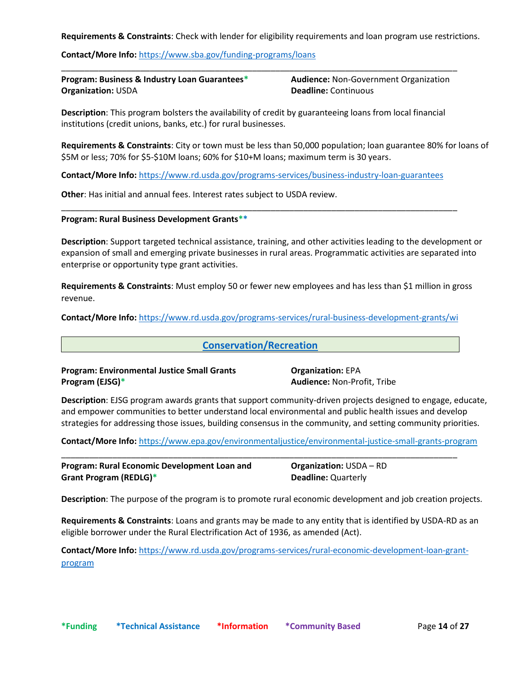**Requirements & Constraints**: Check with lender for eligibility requirements and loan program use restrictions.

**Contact/More Info: <https://www.sba.gov/funding-programs/loans>** 

| <b>Program: Business &amp; Industry Loan Guarantees*</b> | <b>Audience: Non-Government Organization</b> |
|----------------------------------------------------------|----------------------------------------------|
| <b>Organization: USDA</b>                                | <b>Deadline:</b> Continuous                  |

\_\_\_\_\_\_\_\_\_\_\_\_\_\_\_\_\_\_\_\_\_\_\_\_\_\_\_\_\_\_\_\_\_\_\_\_\_\_\_\_\_\_\_\_\_\_\_\_\_\_\_\_\_\_\_\_\_\_\_\_\_\_\_\_\_\_\_\_\_\_\_\_\_\_\_\_\_\_\_\_\_\_\_\_\_

**Description**: This program bolsters the availability of credit by guaranteeing loans from local financial institutions (credit unions, banks, etc.) for rural businesses.

**Requirements & Constraints**: City or town must be less than 50,000 population; loan guarantee 80% for loans of \$5M or less; 70% for \$5-\$10M loans; 60% for \$10+M loans; maximum term is 30 years.

**Contact/More Info:** <https://www.rd.usda.gov/programs-services/business-industry-loan-guarantees>

\_\_\_\_\_\_\_\_\_\_\_\_\_\_\_\_\_\_\_\_\_\_\_\_\_\_\_\_\_\_\_\_\_\_\_\_\_\_\_\_\_\_\_\_\_\_\_\_\_\_\_\_\_\_\_\_\_\_\_\_\_\_\_\_\_\_\_\_\_\_\_\_\_\_\_\_\_\_\_\_\_\_\_\_\_

**Other**: Has initial and annual fees. Interest rates subject to USDA review.

#### **Program: Rural Business Development Grants\*\***

**Description**: Support targeted technical assistance, training, and other activities leading to the development or expansion of small and emerging private businesses in rural areas. Programmatic activities are separated into enterprise or opportunity type grant activities.

**Requirements & Constraints**: Must employ 50 or fewer new employees and has less than \$1 million in gross revenue.

**Contact/More Info:** <https://www.rd.usda.gov/programs-services/rural-business-development-grants/wi>

# <span id="page-13-0"></span>**Conservation/Recreation**

**Program: Environmental Justice Small Grants Program (EJSG)\***

**Organization:** EPA **Audience:** Non-Profit, Tribe

**Description**: EJSG program awards grants that support community-driven projects designed to engage, educate, and empower communities to better understand local environmental and public health issues and develop strategies for addressing those issues, building consensus in the community, and setting community priorities.

**Contact/More Info:** <https://www.epa.gov/environmentaljustice/environmental-justice-small-grants-program>

\_\_\_\_\_\_\_\_\_\_\_\_\_\_\_\_\_\_\_\_\_\_\_\_\_\_\_\_\_\_\_\_\_\_\_\_\_\_\_\_\_\_\_\_\_\_\_\_\_\_\_\_\_\_\_\_\_\_\_\_\_\_\_\_\_\_\_\_\_\_\_\_\_\_\_\_\_\_\_\_\_\_\_\_\_

**Program: Rural Economic Development Loan and Grant Program (REDLG)\* Organization:** USDA – RD **Deadline:** Quarterly

**Description**: The purpose of the program is to promote rural economic development and job creation projects.

**Requirements & Constraints**: Loans and grants may be made to any entity that is identified by USDA-RD as an eligible borrower under the Rural Electrification Act of 1936, as amended (Act).

**Contact/More Info:** [https://www.rd.usda.gov/programs-services/rural-economic-development-loan-grant](https://www.rd.usda.gov/programs-services/rural-economic-development-loan-grant-program)[program](https://www.rd.usda.gov/programs-services/rural-economic-development-loan-grant-program)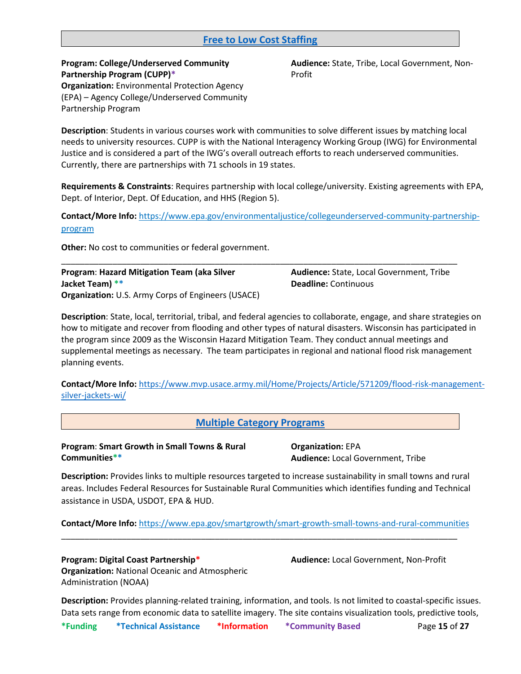# <span id="page-14-0"></span>**Free to Low Cost Staffing**

**Program: College/Underserved Community Partnership Program (CUPP)\* Organization:** Environmental Protection Agency (EPA) – Agency College/Underserved Community Partnership Program

**Audience:** State, Tribe, Local Government, Non-Profit

**Description**: Students in various courses work with communities to solve different issues by matching local needs to university resources. CUPP is with the National Interagency Working Group (IWG) for Environmental Justice and is considered a part of the IWG's overall outreach efforts to reach underserved communities. Currently, there are partnerships with 71 schools in 19 states.

**Requirements & Constraints**: Requires partnership with local college/university. Existing agreements with EPA, Dept. of Interior, Dept. Of Education, and HHS (Region 5).

**Contact/More Info:** [https://www.epa.gov/environmentaljustice/collegeunderserved-community-partnership](https://www.epa.gov/environmentaljustice/collegeunderserved-community-partnership-program)[program](https://www.epa.gov/environmentaljustice/collegeunderserved-community-partnership-program)

\_\_\_\_\_\_\_\_\_\_\_\_\_\_\_\_\_\_\_\_\_\_\_\_\_\_\_\_\_\_\_\_\_\_\_\_\_\_\_\_\_\_\_\_\_\_\_\_\_\_\_\_\_\_\_\_\_\_\_\_\_\_\_\_\_\_\_\_\_\_\_\_\_\_\_\_\_\_\_\_\_\_\_\_\_

**Other:** No cost to communities or federal government.

**Program**: **Hazard Mitigation Team (aka Silver Jacket Team) \*\* Organization:** U.S. Army Corps of Engineers (USACE) **Audience:** State, Local Government, Tribe **Deadline:** Continuous

**Description**: State, local, territorial, tribal, and federal agencies to collaborate, engage, and share strategies on how to mitigate and recover from flooding and other types of natural disasters. Wisconsin has participated in the program since 2009 as the Wisconsin Hazard Mitigation Team. They conduct annual meetings and supplemental meetings as necessary. The team participates in regional and national flood risk management planning events.

**Contact/More Info:** [https://www.mvp.usace.army.mil/Home/Projects/Article/571209/flood-risk-management](https://www.mvp.usace.army.mil/Home/Projects/Article/571209/flood-risk-management-silver-jackets-wi/)[silver-jackets-wi/](https://www.mvp.usace.army.mil/Home/Projects/Article/571209/flood-risk-management-silver-jackets-wi/)

<span id="page-14-1"></span>**Multiple Category Programs**

**Program**: **Smart Growth in Small Towns & Rural Communities\*\***

**Organization:** EPA **Audience:** Local Government, Tribe

**Description:** Provides links to multiple resources targeted to increase sustainability in small towns and rural areas. Includes Federal Resources for Sustainable Rural Communities which identifies funding and Technical assistance in USDA, USDOT, EPA & HUD.

**Contact/More Info:** <https://www.epa.gov/smartgrowth/smart-growth-small-towns-and-rural-communities>

\_\_\_\_\_\_\_\_\_\_\_\_\_\_\_\_\_\_\_\_\_\_\_\_\_\_\_\_\_\_\_\_\_\_\_\_\_\_\_\_\_\_\_\_\_\_\_\_\_\_\_\_\_\_\_\_\_\_\_\_\_\_\_\_\_\_\_\_\_\_\_\_\_\_\_\_\_\_\_\_\_\_\_\_\_

**Program: Digital Coast Partnership\* Organization:** National Oceanic and Atmospheric Administration (NOAA)

**Audience:** Local Government, Non-Profit

**Description:** Provides planning-related training, information, and tools. Is not limited to coastal-specific issues. Data sets range from economic data to satellite imagery. The site contains visualization tools, predictive tools,

**\*Funding \*Technical Assistance \*Information \*Community Based** Page **15** of **27**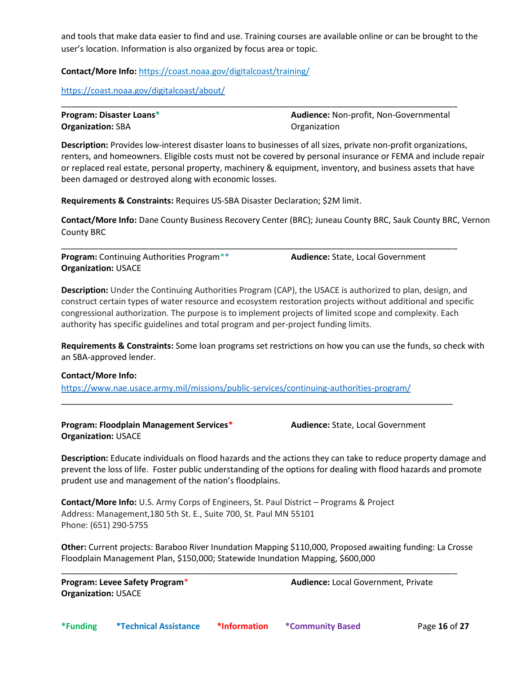and tools that make data easier to find and use. Training courses are available online or can be brought to the user's location. Information is also organized by focus area or topic.

**Contact/More Info:** <https://coast.noaa.gov/digitalcoast/training/>

<https://coast.noaa.gov/digitalcoast/about/>

| <b>Program: Disaster Loans*</b> | <b>Audience: Non-profit, Non-Governmental</b> |
|---------------------------------|-----------------------------------------------|
| <b>Organization: SBA</b>        | Organization                                  |

\_\_\_\_\_\_\_\_\_\_\_\_\_\_\_\_\_\_\_\_\_\_\_\_\_\_\_\_\_\_\_\_\_\_\_\_\_\_\_\_\_\_\_\_\_\_\_\_\_\_\_\_\_\_\_\_\_\_\_\_\_\_\_\_\_\_\_\_\_\_\_\_\_\_\_\_\_\_\_\_\_\_\_\_\_

**Description:** Provides low-interest disaster loans to businesses of all sizes, private non-profit organizations, renters, and homeowners. Eligible costs must not be covered by personal insurance or FEMA and include repair or replaced real estate, personal property, machinery & equipment, inventory, and business assets that have been damaged or destroyed along with economic losses.

**Requirements & Constraints:** Requires US-SBA Disaster Declaration; \$2M limit.

**Contact/More Info:** Dane County Business Recovery Center (BRC); Juneau County BRC, Sauk County BRC, Vernon County BRC

\_\_\_\_\_\_\_\_\_\_\_\_\_\_\_\_\_\_\_\_\_\_\_\_\_\_\_\_\_\_\_\_\_\_\_\_\_\_\_\_\_\_\_\_\_\_\_\_\_\_\_\_\_\_\_\_\_\_\_\_\_\_\_\_\_\_\_\_\_\_\_\_\_\_\_\_\_\_\_\_\_\_\_\_\_

**Program:** Continuing Authorities Program\*\* **Organization:** USACE **Audience:** State, Local Government

**Description:** Under the Continuing Authorities Program (CAP), the USACE is authorized to plan, design, and construct certain types of water resource and ecosystem restoration projects without additional and specific congressional authorization. The purpose is to implement projects of limited scope and complexity. Each authority has specific guidelines and total program and per-project funding limits.

**Requirements & Constraints:** Some loan programs set restrictions on how you can use the funds, so check with an SBA-approved lender.

# **Contact/More Info:**

<https://www.nae.usace.army.mil/missions/public-services/continuing-authorities-program/>

\_\_\_\_\_\_\_\_\_\_\_\_\_\_\_\_\_\_\_\_\_\_\_\_\_\_\_\_\_\_\_\_\_\_\_\_\_\_\_\_\_\_\_\_\_\_\_\_\_\_\_\_\_\_\_\_\_\_\_\_\_\_\_\_\_\_\_\_\_\_\_\_\_\_\_\_\_\_\_\_\_\_\_\_

**Program: Floodplain Management Services\* Organization:** USACE

**Audience:** State, Local Government

**Description:** Educate individuals on flood hazards and the actions they can take to reduce property damage and prevent the loss of life. Foster public understanding of the options for dealing with flood hazards and promote prudent use and management of the nation's floodplains.

**Contact/More Info:** U.S. Army Corps of Engineers, St. Paul District – Programs & Project Address: Management,180 5th St. E., Suite 700, St. Paul MN 55101 Phone: (651) 290-5755

**Other:** Current projects: Baraboo River Inundation Mapping \$110,000, Proposed awaiting funding: La Crosse Floodplain Management Plan, \$150,000; Statewide Inundation Mapping, \$600,000

\_\_\_\_\_\_\_\_\_\_\_\_\_\_\_\_\_\_\_\_\_\_\_\_\_\_\_\_\_\_\_\_\_\_\_\_\_\_\_\_\_\_\_\_\_\_\_\_\_\_\_\_\_\_\_\_\_\_\_\_\_\_\_\_\_\_\_\_\_\_\_\_\_\_\_\_\_\_\_\_\_\_\_\_\_

**Program: Levee Safety Program**\* **Organization:** USACE

**Audience:** Local Government, Private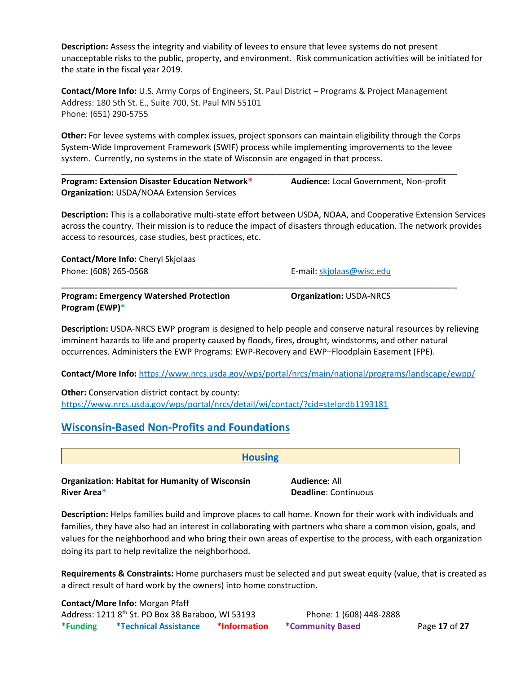**Description:** Assess the integrity and viability of levees to ensure that levee systems do not present unacceptable risks to the public, property, and environment. Risk communication activities will be initiated for the state in the fiscal year 2019.

**Contact/More Info:** U.S. Army Corps of Engineers, St. Paul District – Programs & Project Management Address: 180 5th St. E., Suite 700, St. Paul MN 55101 Phone: (651) 290-5755

**Other:** For levee systems with complex issues, project sponsors can maintain eligibility through the Corps System-Wide Improvement Framework (SWIF) process while implementing improvements to the levee system. Currently, no systems in the state of Wisconsin are engaged in that process.

\_\_\_\_\_\_\_\_\_\_\_\_\_\_\_\_\_\_\_\_\_\_\_\_\_\_\_\_\_\_\_\_\_\_\_\_\_\_\_\_\_\_\_\_\_\_\_\_\_\_\_\_\_\_\_\_\_\_\_\_\_\_\_\_\_\_\_\_\_\_\_\_\_\_\_\_\_\_\_\_\_\_\_\_\_

\_\_\_\_\_\_\_\_\_\_\_\_\_\_\_\_\_\_\_\_\_\_\_\_\_\_\_\_\_\_\_\_\_\_\_\_\_\_\_\_\_\_\_\_\_\_\_\_\_\_\_\_\_\_\_\_\_\_\_\_\_\_\_\_\_\_\_\_\_\_\_\_\_\_\_\_\_\_\_\_\_\_\_\_\_

**Program: Extension Disaster Education Network\* Organization:** USDA/NOAA Extension Services

**Audience:** Local Government, Non-profit

**Description:** This is a collaborative multi-state effort between USDA, NOAA, and Cooperative Extension Services across the country. Their mission is to reduce the impact of disasters through education. The network provides access to resources, case studies, best practices, etc.

**Contact/More Info:** Cheryl Skjolaas Phone: (608) 265-0568 **E-mail:** [skjolaas@wisc.edu](mailto:skjolaas@wisc.edu)

**Program: Emergency Watershed Protection Program (EWP)\***

**Organization:** USDA-NRCS

**Description:** USDA-NRCS EWP program is designed to help people and conserve natural resources by relieving imminent hazards to life and property caused by floods, fires, drought, windstorms, and other natural occurrences. Administers the EWP Programs: EWP-Recovery and EWP–Floodplain Easement (FPE).

**Contact/More Info:** <https://www.nrcs.usda.gov/wps/portal/nrcs/main/national/programs/landscape/ewpp/>

<span id="page-16-1"></span>**Housing**

**Other:** Conservation district contact by county: <https://www.nrcs.usda.gov/wps/portal/nrcs/detail/wi/contact/?cid=stelprdb1193181>

# <span id="page-16-0"></span>**Wisconsin-Based Non-Profits and Foundations**

**Organization**: **Habitat for Humanity of Wisconsin River Area\***

**Audience**: All **Deadline**: Continuous

**Description:** Helps families build and improve places to call home. Known for their work with individuals and families, they have also had an interest in collaborating with partners who share a common vision, goals, and values for the neighborhood and who bring their own areas of expertise to the process, with each organization doing its part to help revitalize the neighborhood.

**Requirements & Constraints:** Home purchasers must be selected and put sweat equity (value, that is created as a direct result of hard work by the owners) into home construction.

**\*Funding \*Technical Assistance \*Information \*Community Based** Page **17** of **27 Contact/More Info:** Morgan Pfaff Address: 1211 8<sup>th</sup> St. PO Box 38 Baraboo, WI 53193 Phone: 1 (608) 448-2888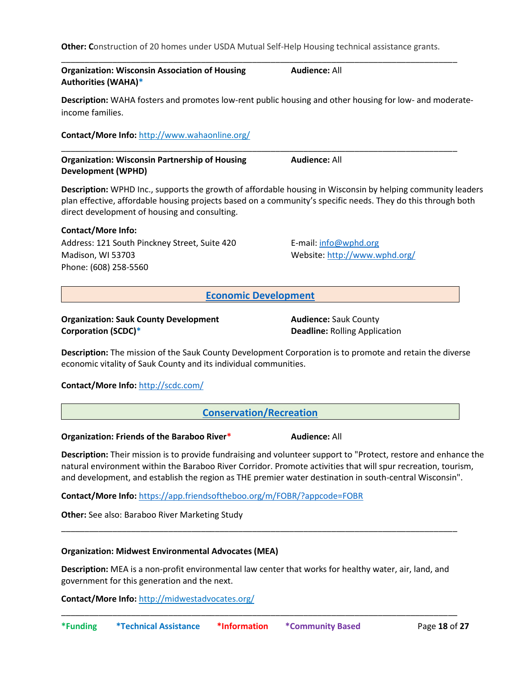**Other: C**onstruction of 20 homes under USDA Mutual Self-Help Housing technical assistance grants.

\_\_\_\_\_\_\_\_\_\_\_\_\_\_\_\_\_\_\_\_\_\_\_\_\_\_\_\_\_\_\_\_\_\_\_\_\_\_\_\_\_\_\_\_\_\_\_\_\_\_\_\_\_\_\_\_\_\_\_\_\_\_\_\_\_\_\_\_\_\_\_\_\_\_\_\_\_\_\_\_\_\_\_\_\_

\_\_\_\_\_\_\_\_\_\_\_\_\_\_\_\_\_\_\_\_\_\_\_\_\_\_\_\_\_\_\_\_\_\_\_\_\_\_\_\_\_\_\_\_\_\_\_\_\_\_\_\_\_\_\_\_\_\_\_\_\_\_\_\_\_\_\_\_\_\_\_\_\_\_\_\_\_\_\_\_\_\_\_\_\_

# **Organization: Wisconsin Association of Housing Authorities (WAHA)\***

**Description:** WAHA fosters and promotes low-rent public housing and other housing for low- and moderate-

**Audience:** All

**Contact/More Info:** <http://www.wahaonline.org/>

**Organization: Wisconsin Partnership of Housing Development (WPHD) Audience:** All

**Description:** WPHD Inc., supports the growth of affordable housing in Wisconsin by helping community leaders plan effective, affordable housing projects based on a community's specific needs. They do this through both direct development of housing and consulting.

# **Contact/More Info:**

income families.

Address: 121 South Pinckney Street, Suite 420 Madison, WI 53703 Phone: (608) 258-5560

E-mail: [info@wphd.org](mailto:info@wphd.org) Website[: http://www.wphd.org/](http://www.wphd.org/)

<span id="page-17-0"></span>**Economic Development**

**Organization: Sauk County Development Corporation (SCDC)\***

**Audience:** Sauk County **Deadline:** Rolling Application

**Description:** The mission of the Sauk County Development Corporation is to promote and retain the diverse economic vitality of Sauk County and its individual communities.

# **Contact/More Info:** <http://scdc.com/>

<span id="page-17-1"></span>**Conservation/Recreation**

**Organization: Friends of the Baraboo River\* Audience: All** 

**Description:** Their mission is to provide fundraising and volunteer support to "Protect, restore and enhance the natural environment within the Baraboo River Corridor. Promote activities that will spur recreation, tourism, and development, and establish the region as THE premier water destination in south-central Wisconsin".

**Contact/More Info:** <https://app.friendsoftheboo.org/m/FOBR/?appcode=FOBR>

**Other:** See also: Baraboo River Marketing Study

# **Organization: Midwest Environmental Advocates (MEA)**

**Description:** MEA is a non-profit environmental law center that works for healthy water, air, land, and government for this generation and the next.

\_\_\_\_\_\_\_\_\_\_\_\_\_\_\_\_\_\_\_\_\_\_\_\_\_\_\_\_\_\_\_\_\_\_\_\_\_\_\_\_\_\_\_\_\_\_\_\_\_\_\_\_\_\_\_\_\_\_\_\_\_\_\_\_\_\_\_\_\_\_\_\_\_\_\_\_\_\_\_\_\_\_\_\_\_

\_\_\_\_\_\_\_\_\_\_\_\_\_\_\_\_\_\_\_\_\_\_\_\_\_\_\_\_\_\_\_\_\_\_\_\_\_\_\_\_\_\_\_\_\_\_\_\_\_\_\_\_\_\_\_\_\_\_\_\_\_\_\_\_\_\_\_\_\_\_\_\_\_\_\_\_\_\_\_\_\_\_\_\_\_

**Contact/More Info:** <http://midwestadvocates.org/>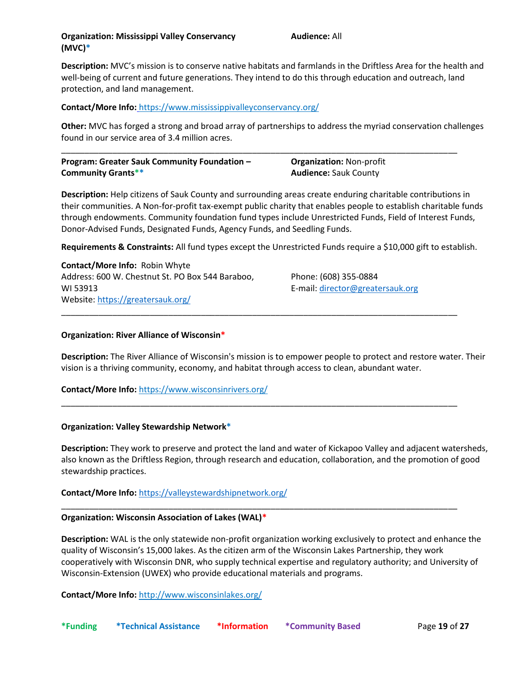**Description:** MVC's mission is to conserve native habitats and farmlands in the Driftless Area for the health and well-being of current and future generations. They intend to do this through education and outreach, land protection, and land management.

# **Contact/More Info: <https://www.mississippivalleyconservancy.org/>**

**Other:** MVC has forged a strong and broad array of partnerships to address the myriad conservation challenges found in our service area of 3.4 million acres.

| Program: Greater Sauk Community Foundation - | <b>Organization: Non-profit</b> |  |
|----------------------------------------------|---------------------------------|--|
| <b>Community Grants**</b>                    | <b>Audience: Sauk County</b>    |  |

**Description:** Help citizens of Sauk County and surrounding areas create enduring charitable contributions in their communities. A Non-for-profit tax-exempt public charity that enables people to establish charitable funds through endowments. Community foundation fund types include Unrestricted Funds, Field of Interest Funds, Donor-Advised Funds, Designated Funds, Agency Funds, and Seedling Funds.

**Requirements & Constraints:** All fund types except the Unrestricted Funds require a \$10,000 gift to establish.

\_\_\_\_\_\_\_\_\_\_\_\_\_\_\_\_\_\_\_\_\_\_\_\_\_\_\_\_\_\_\_\_\_\_\_\_\_\_\_\_\_\_\_\_\_\_\_\_\_\_\_\_\_\_\_\_\_\_\_\_\_\_\_\_\_\_\_\_\_\_\_\_\_\_\_\_\_\_\_\_\_\_\_\_\_

\_\_\_\_\_\_\_\_\_\_\_\_\_\_\_\_\_\_\_\_\_\_\_\_\_\_\_\_\_\_\_\_\_\_\_\_\_\_\_\_\_\_\_\_\_\_\_\_\_\_\_\_\_\_\_\_\_\_\_\_\_\_\_\_\_\_\_\_\_\_\_\_\_\_\_\_\_\_\_\_\_\_\_\_\_

\_\_\_\_\_\_\_\_\_\_\_\_\_\_\_\_\_\_\_\_\_\_\_\_\_\_\_\_\_\_\_\_\_\_\_\_\_\_\_\_\_\_\_\_\_\_\_\_\_\_\_\_\_\_\_\_\_\_\_\_\_\_\_\_\_\_\_\_\_\_\_\_\_\_\_\_\_\_\_\_\_\_\_\_\_

**Contact/More Info:** Robin Whyte Address: 600 W. Chestnut St. PO Box 544 Baraboo, WI 53913 Website[: https://greatersauk.org/](https://greatersauk.org/%0c)

Phone: (608) 355-0884 E-mail: [director@greatersauk.org](mailto:director@greatersauk.org)

### **Organization: River Alliance of Wisconsin\***

**Description:** The River Alliance of Wisconsin's mission is to empower people to protect and restore water. Their vision is a thriving community, economy, and habitat through access to clean, abundant water.

### **Contact/More Info:** <https://www.wisconsinrivers.org/>

#### **Organization: Valley Stewardship Network\***

**Description:** They work to preserve and protect the land and water of Kickapoo Valley and adjacent watersheds, also known as the Driftless Region, through research and education, collaboration, and the promotion of good stewardship practices.

### **Contact/More Info:** <https://valleystewardshipnetwork.org/>

### **Organization: Wisconsin Association of Lakes (WAL)\***

**Description:** WAL is the only statewide non-profit organization working exclusively to protect and enhance the quality of Wisconsin's 15,000 lakes. As the citizen arm of the Wisconsin Lakes Partnership, they work cooperatively with Wisconsin DNR, who supply technical expertise and regulatory authority; and University of Wisconsin-Extension (UWEX) who provide educational materials and programs.

**Contact/More Info:** <http://www.wisconsinlakes.org/>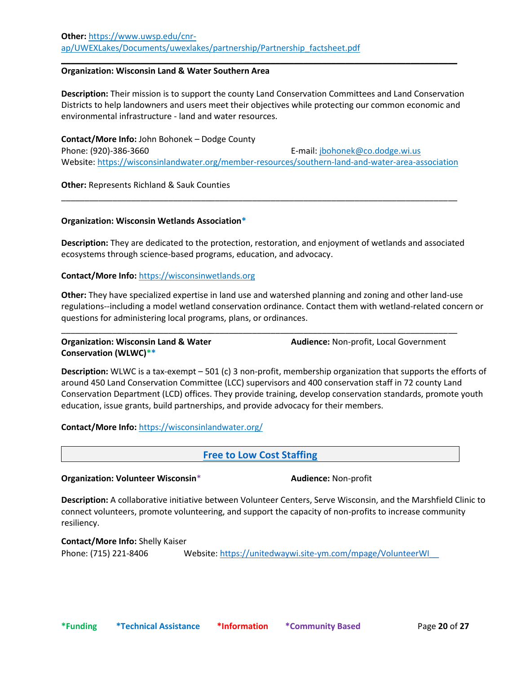#### **Organization: Wisconsin Land & Water Southern Area**

**Description:** Their mission is to support the county Land Conservation Committees and Land Conservation Districts to help landowners and users meet their objectives while protecting our common economic and environmental infrastructure - land and water resources.

\_\_\_\_\_\_\_\_\_\_\_\_\_\_\_\_\_\_\_\_\_\_\_\_\_\_\_\_\_\_\_\_\_\_\_\_\_\_\_\_\_\_\_\_\_\_\_\_\_\_\_\_\_\_\_\_\_\_\_\_\_\_\_\_\_\_\_\_\_\_\_\_\_\_\_\_\_\_\_\_\_\_\_\_\_

**Contact/More Info:** John Bohonek – Dodge County Phone: (920)-386-3660 E-mail: [jbohonek@co.dodge.wi.us](mailto:jbohonek@co.dodge.wi.us) Website[: https://wisconsinlandwater.org/member-resources/southern-land-and-water-area-association](https://wisconsinlandwater.org/member-resources/southern-land-and-water-area-association)

\_\_\_\_\_\_\_\_\_\_\_\_\_\_\_\_\_\_\_\_\_\_\_\_\_\_\_\_\_\_\_\_\_\_\_\_\_\_\_\_\_\_\_\_\_\_\_\_\_\_\_\_\_\_\_\_\_\_\_\_\_\_\_\_\_\_\_\_\_\_\_\_\_\_\_\_\_\_\_\_\_\_\_\_\_

**Other:** Represents Richland & Sauk Counties

# **Organization: Wisconsin Wetlands Association\***

**Description:** They are dedicated to the protection, restoration, and enjoyment of wetlands and associated ecosystems through science-based programs, education, and advocacy.

#### **Contact/More Info:** [https://wisconsinwetlands.org](https://wisconsinwetlands.org/)

**Other:** They have specialized expertise in land use and watershed planning and zoning and other land-use regulations--including a model wetland conservation ordinance. Contact them with wetland-related concern or questions for administering local programs, plans, or ordinances.

\_\_\_\_\_\_\_\_\_\_\_\_\_\_\_\_\_\_\_\_\_\_\_\_\_\_\_\_\_\_\_\_\_\_\_\_\_\_\_\_\_\_\_\_\_\_\_\_\_\_\_\_\_\_\_\_\_\_\_\_\_\_\_\_\_\_\_\_\_\_\_\_\_\_\_\_\_\_\_\_\_\_\_\_\_

# **Organization: Wisconsin Land & Water Conservation (WLWC)\*\***

**Audience:** Non-profit, Local Government

**Description:** WLWC is a tax-exempt – 501 (c) 3 non-profit, membership organization that supports the efforts of around 450 Land Conservation Committee (LCC) supervisors and 400 conservation staff in 72 county Land Conservation Department (LCD) offices. They provide training, develop conservation standards, promote youth education, issue grants, build partnerships, and provide advocacy for their members.

**Contact/More Info:** <https://wisconsinlandwater.org/>

<span id="page-19-0"></span>**Free to Low Cost Staffing**

**Organization: Volunteer Wisconsin**\* **Audience:** Non-profit

**Description:** A collaborative initiative between Volunteer Centers, Serve Wisconsin, and the Marshfield Clinic to connect volunteers, promote volunteering, and support the capacity of non-profits to increase community resiliency.

**Contact/More Info:** Shelly Kaiser Phone: (715) 221-8406 Website[: https://unitedwaywi.site-ym.com/mpage/VolunteerWI](https://unitedwaywi.site-ym.com/mpage/VolunteerWI__)[\\_\\_](https://unitedwaywi.site-ym.com/mpage/VolunteerWI__)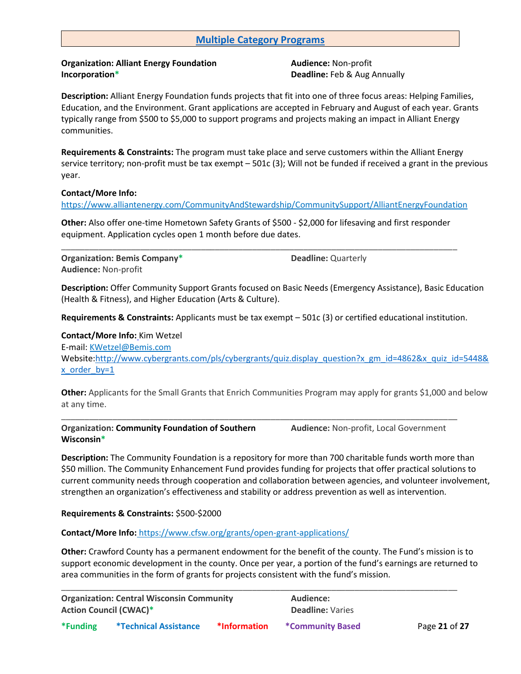# <span id="page-20-0"></span>**Multiple Category Programs**

# **Organization: Alliant Energy Foundation Incorporation\***

**Audience:** Non-profit **Deadline:** Feb & Aug Annually

**Description:** Alliant Energy Foundation funds projects that fit into one of three focus areas: Helping Families, Education, and the Environment. Grant applications are accepted in February and August of each year. Grants typically range from \$500 to \$5,000 to support programs and projects making an impact in Alliant Energy communities.

**Requirements & Constraints:** The program must take place and serve customers within the Alliant Energy service territory; non-profit must be tax exempt – 501c (3); Will not be funded if received a grant in the previous year.

# **Contact/More Info:**

<https://www.alliantenergy.com/CommunityAndStewardship/CommunitySupport/AlliantEnergyFoundation>

**Other:** Also offer one-time Hometown Safety Grants of \$500 - \$2,000 for lifesaving and first responder equipment. Application cycles open 1 month before due dates.

\_\_\_\_\_\_\_\_\_\_\_\_\_\_\_\_\_\_\_\_\_\_\_\_\_\_\_\_\_\_\_\_\_\_\_\_\_\_\_\_\_\_\_\_\_\_\_\_\_\_\_\_\_\_\_\_\_\_\_\_\_\_\_\_\_\_\_\_\_\_\_\_\_\_\_\_\_\_\_\_\_\_\_\_\_

**Organization: Bemis Company\* Audience:** Non-profit

**Deadline:** Quarterly

**Description:** Offer Community Support Grants focused on Basic Needs (Emergency Assistance), Basic Education (Health & Fitness), and Higher Education (Arts & Culture).

**Requirements & Constraints:** Applicants must be tax exempt – 501c (3) or certified educational institution.

**Contact/More Info:** Kim Wetzel E-mail: [KWetzel@Bemis.com](mailto:KWetzel@Bemis.com)  Website[:http://www.cybergrants.com/pls/cybergrants/quiz.display\\_question?x\\_gm\\_id=4862&x\\_quiz\\_id=5448&](http://www.cybergrants.com/pls/cybergrants/quiz.display_question?x_gm_id=4862&x_quiz_id=5448&x_order_by=1)  $x$  order  $by=1$ 

**Other:** Applicants for the Small Grants that Enrich Communities Program may apply for grants \$1,000 and below at any time.

\_\_\_\_\_\_\_\_\_\_\_\_\_\_\_\_\_\_\_\_\_\_\_\_\_\_\_\_\_\_\_\_\_\_\_\_\_\_\_\_\_\_\_\_\_\_\_\_\_\_\_\_\_\_\_\_\_\_\_\_\_\_\_\_\_\_\_\_\_\_\_\_\_\_\_\_\_\_\_\_\_\_\_\_\_

**Organization: Community Foundation of Southern Wisconsin\***

**Audience:** Non-profit, Local Government

**Description:** The Community Foundation is a repository for more than 700 charitable funds worth more than \$50 million. The Community Enhancement Fund provides funding for projects that offer practical solutions to current community needs through cooperation and collaboration between agencies, and volunteer involvement, strengthen an organization's effectiveness and stability or address prevention as well as intervention.

### **Requirements & Constraints:** \$500-\$2000

**Contact/More Info:** <https://www.cfsw.org/grants/open-grant-applications/>

**Other:** Crawford County has a permanent endowment for the benefit of the county. The Fund's mission is to support economic development in the county. Once per year, a portion of the fund's earnings are returned to area communities in the form of grants for projects consistent with the fund's mission.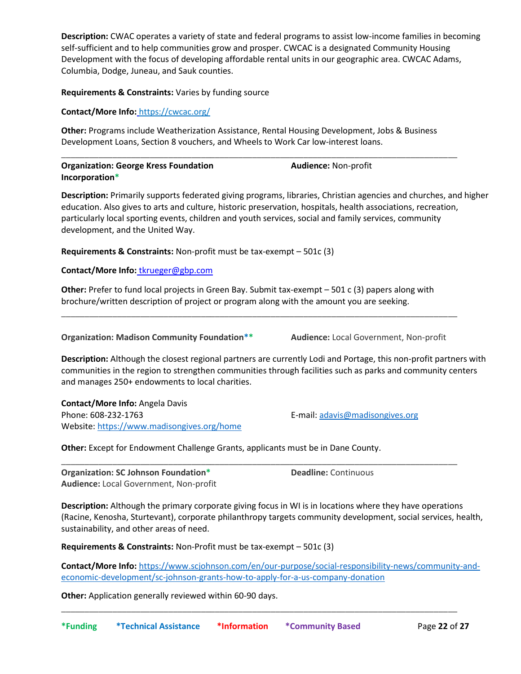**Description:** CWAC operates a variety of state and federal programs to assist low-income families in becoming self-sufficient and to help communities grow and prosper. CWCAC is a designated Community Housing Development with the focus of developing affordable rental units in our geographic area. CWCAC Adams, Columbia, Dodge, Juneau, and Sauk counties.

# **Requirements & Constraints:** Varies by funding source

**Contact/More Info:** <https://cwcac.org/>

**Other:** Programs include Weatherization Assistance, Rental Housing Development, Jobs & Business Development Loans, Section 8 vouchers, and Wheels to Work Car low-interest loans.

\_\_\_\_\_\_\_\_\_\_\_\_\_\_\_\_\_\_\_\_\_\_\_\_\_\_\_\_\_\_\_\_\_\_\_\_\_\_\_\_\_\_\_\_\_\_\_\_\_\_\_\_\_\_\_\_\_\_\_\_\_\_\_\_\_\_\_\_\_\_\_\_\_\_\_\_\_\_\_\_\_\_\_\_\_

| <b>Organization: George Kress Foundation</b> | <b>Audience: Non-profit</b> |
|----------------------------------------------|-----------------------------|
| Incorporation*                               |                             |

**Description:** Primarily supports federated giving programs, libraries, Christian agencies and churches, and higher education. Also gives to arts and culture, historic preservation, hospitals, health associations, recreation, particularly local sporting events, children and youth services, social and family services, community development, and the United Way.

**Requirements & Constraints:** Non-profit must be tax-exempt – 501c (3)

# **Contact/More Info:** [tkrueger@gbp.com](mailto:tkrueger@gbp.com)

**Other:** Prefer to fund local projects in Green Bay. Submit tax-exempt – 501 c (3) papers along with brochure/written description of project or program along with the amount you are seeking.

\_\_\_\_\_\_\_\_\_\_\_\_\_\_\_\_\_\_\_\_\_\_\_\_\_\_\_\_\_\_\_\_\_\_\_\_\_\_\_\_\_\_\_\_\_\_\_\_\_\_\_\_\_\_\_\_\_\_\_\_\_\_\_\_\_\_\_\_\_\_\_\_\_\_\_\_\_\_\_\_\_\_\_\_\_

**Organization: Madison Community Foundation\*\* Audience:** Local Government, Non-profit

**Description:** Although the closest regional partners are currently Lodi and Portage, this non-profit partners with communities in the region to strengthen communities through facilities such as parks and community centers and manages 250+ endowments to local charities.

**Contact/More Info:** Angela Davis Phone: 608-232-1763 E-mail: [adavis@madisongives.org](mailto:adavis@madisongives.org)  Website[: https://www.madisongives.org/home](https://www.madisongives.org/home)

**Other:** Except for Endowment Challenge Grants, applicants must be in Dane County.

**Organization: SC Johnson Foundation\* Audience:** Local Government, Non-profit **Deadline:** Continuous

**Description:** Although the primary corporate giving focus in WI is in locations where they have operations (Racine, Kenosha, Sturtevant), corporate philanthropy targets community development, social services, health, sustainability, and other areas of need.

\_\_\_\_\_\_\_\_\_\_\_\_\_\_\_\_\_\_\_\_\_\_\_\_\_\_\_\_\_\_\_\_\_\_\_\_\_\_\_\_\_\_\_\_\_\_\_\_\_\_\_\_\_\_\_\_\_\_\_\_\_\_\_\_\_\_\_\_\_\_\_\_\_\_\_\_\_\_\_\_\_\_\_\_\_

**Requirements & Constraints:** Non-Profit must be tax-exempt – 501c (3)

**Contact/More Info:** [https://www.scjohnson.com/en/our-purpose/social-responsibility-news/community-and](https://www.scjohnson.com/en/our-purpose/social-responsibility-news/community-and-economic-development/sc-johnson-grants-how-to-apply-for-a-us-company-donation)[economic-development/sc-johnson-grants-how-to-apply-for-a-us-company-donation](https://www.scjohnson.com/en/our-purpose/social-responsibility-news/community-and-economic-development/sc-johnson-grants-how-to-apply-for-a-us-company-donation)

\_\_\_\_\_\_\_\_\_\_\_\_\_\_\_\_\_\_\_\_\_\_\_\_\_\_\_\_\_\_\_\_\_\_\_\_\_\_\_\_\_\_\_\_\_\_\_\_\_\_\_\_\_\_\_\_\_\_\_\_\_\_\_\_\_\_\_\_\_\_\_\_\_\_\_\_\_\_\_\_\_\_\_\_\_

**Other:** Application generally reviewed within 60-90 days.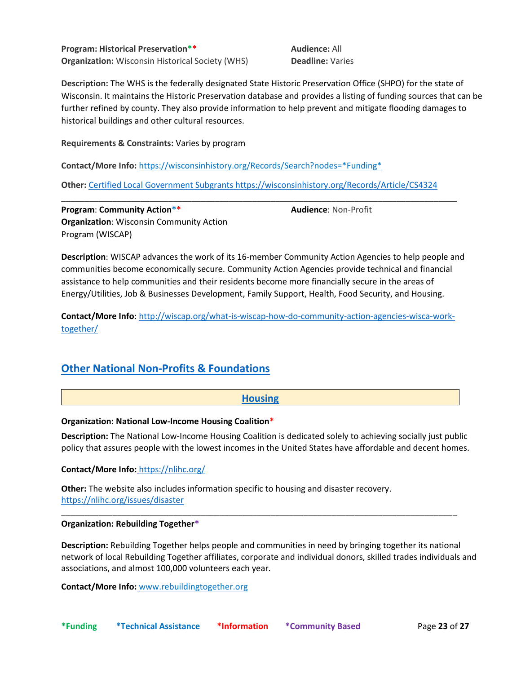**Program: Historical Preservation\*\* Organization:** Wisconsin Historical Society (WHS) **Audience:** All **Deadline:** Varies

**Audience**: Non-Profit

**Description:** The WHS is the federally designated State Historic Preservation Office (SHPO) for the state of Wisconsin. It maintains the Historic Preservation database and provides a listing of funding sources that can be further refined by county. They also provide information to help prevent and mitigate flooding damages to historical buildings and other cultural resources.

**Requirements & Constraints:** Varies by program

**Contact/More Info:** [https://wisconsinhistory.org/Records/Search?nodes=\\*Funding\\*](https://wisconsinhistory.org/Records/Search?nodes=*Funding*)

**Other:** [Certified Local Government Subgrants https://wisconsinhistory.org/Records/Article/CS4324](file:///C:/Users/anita.cornell/Desktop/Certified%20Local%20Government%20Subgrants%20https:/wisconsinhistory.org/Records/Article/CS4324) 

\_\_\_\_\_\_\_\_\_\_\_\_\_\_\_\_\_\_\_\_\_\_\_\_\_\_\_\_\_\_\_\_\_\_\_\_\_\_\_\_\_\_\_\_\_\_\_\_\_\_\_\_\_\_\_\_\_\_\_\_\_\_\_\_\_\_\_\_\_\_\_\_\_\_\_\_\_\_\_\_\_\_\_\_\_

**Program**: **Community Action\*\* Organization**: Wisconsin Community Action Program (WISCAP)

**Description**: WISCAP advances the work of its 16-member Community Action Agencies to help people and communities become economically secure. Community Action Agencies provide technical and financial assistance to help communities and their residents become more financially secure in the areas of Energy/Utilities, Job & Businesses Development, Family Support, Health, Food Security, and Housing.

**Contact/More Info**: [http://wiscap.org/what-is-wiscap-how-do-community-action-agencies-wisca-work](http://wiscap.org/what-is-wiscap-how-do-community-action-agencies-wisca-work-together/)[together/](http://wiscap.org/what-is-wiscap-how-do-community-action-agencies-wisca-work-together/)

# <span id="page-22-0"></span>**Other National Non-Profits & Foundations**

# <span id="page-22-1"></span>**Housing**

### **Organization: National Low-Income Housing Coalition\***

**Description:** The National Low-Income Housing Coalition is dedicated solely to achieving socially just public policy that assures people with the lowest incomes in the United States have affordable and decent homes.

### **Contact/More Info:** <https://nlihc.org/>

**Other:** The website also includes information specific to housing and disaster recovery. <https://nlihc.org/issues/disaster>

### **Organization: Rebuilding Together\***

**Description:** Rebuilding Together helps people and communities in need by bringing together its national network of local Rebuilding Together affiliates, corporate and individual donors, skilled trades individuals and associations, and almost 100,000 volunteers each year.

\_\_\_\_\_\_\_\_\_\_\_\_\_\_\_\_\_\_\_\_\_\_\_\_\_\_\_\_\_\_\_\_\_\_\_\_\_\_\_\_\_\_\_\_\_\_\_\_\_\_\_\_\_\_\_\_\_\_\_\_\_\_\_\_\_\_\_\_\_\_\_\_\_\_\_\_\_\_\_\_\_\_\_\_\_

**Contact/More Info:** [www.rebuildingtogether.org](http://www.rebuildingtogether.org/)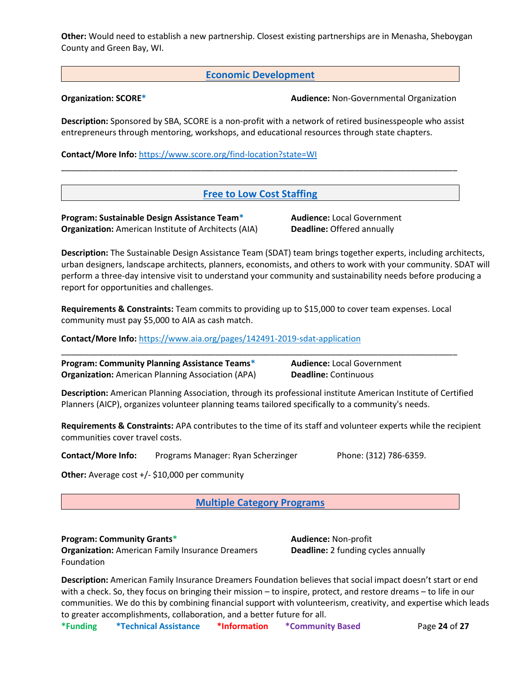**Other:** Would need to establish a new partnership. Closest existing partnerships are in Menasha, Sheboygan County and Green Bay, WI.

<span id="page-23-0"></span>**Economic Development**

**Organization: SCORE\* Audience:** Non-Governmental Organization

**Description:** Sponsored by SBA, SCORE is a non-profit with a network of retired businesspeople who assist entrepreneurs through mentoring, workshops, and educational resources through state chapters.

**Contact/More Info:** <https://www.score.org/find-location?state=WI>

# <span id="page-23-1"></span>**Free to Low Cost Staffing**

\_\_\_\_\_\_\_\_\_\_\_\_\_\_\_\_\_\_\_\_\_\_\_\_\_\_\_\_\_\_\_\_\_\_\_\_\_\_\_\_\_\_\_\_\_\_\_\_\_\_\_\_\_\_\_\_\_\_\_\_\_\_\_\_\_\_\_\_\_\_\_\_\_\_\_\_\_\_\_\_\_\_\_\_\_

**Program: Sustainable Design Assistance Team\* Organization:** American Institute of Architects (AIA) **Audience:** Local Government **Deadline:** Offered annually

**Description:** The Sustainable Design Assistance Team (SDAT) team brings together experts, including architects, urban designers, landscape architects, planners, economists, and others to work with your community. SDAT will perform a three-day intensive visit to understand your community and sustainability needs before producing a report for opportunities and challenges.

**Requirements & Constraints:** Team commits to providing up to \$15,000 to cover team expenses. Local community must pay \$5,000 to AIA as cash match.

\_\_\_\_\_\_\_\_\_\_\_\_\_\_\_\_\_\_\_\_\_\_\_\_\_\_\_\_\_\_\_\_\_\_\_\_\_\_\_\_\_\_\_\_\_\_\_\_\_\_\_\_\_\_\_\_\_\_\_\_\_\_\_\_\_\_\_\_\_\_\_\_\_\_\_\_\_\_\_\_\_\_\_\_\_

**Contact/More Info:** <https://www.aia.org/pages/142491-2019-sdat-application>

**Program: Community Planning Assistance Teams\* Organization:** American Planning Association (APA) **Audience:** Local Government **Deadline:** Continuous

**Description:** American Planning Association, through its professional institute American Institute of Certified Planners (AICP), organizes volunteer planning teams tailored specifically to a community's needs.

**Requirements & Constraints:** APA contributes to the time of its staff and volunteer experts while the recipient communities cover travel costs.

**Contact/More Info:** Programs Manager: Ryan Scherzinger Phone: (312) 786-6359.

**Other:** Average cost +/- \$10,000 per community

<span id="page-23-2"></span>**Multiple Category Programs**

**Program: Community Grants\* Organization:** American Family Insurance Dreamers Foundation

**Audience:** Non-profit **Deadline:** 2 funding cycles annually

**Description:** American Family Insurance Dreamers Foundation believes that social impact doesn't start or end with a check. So, they focus on bringing their mission – to inspire, protect, and restore dreams – to life in our communities. We do this by combining financial support with volunteerism, creativity, and expertise which leads to greater accomplishments, collaboration, and a better future for all.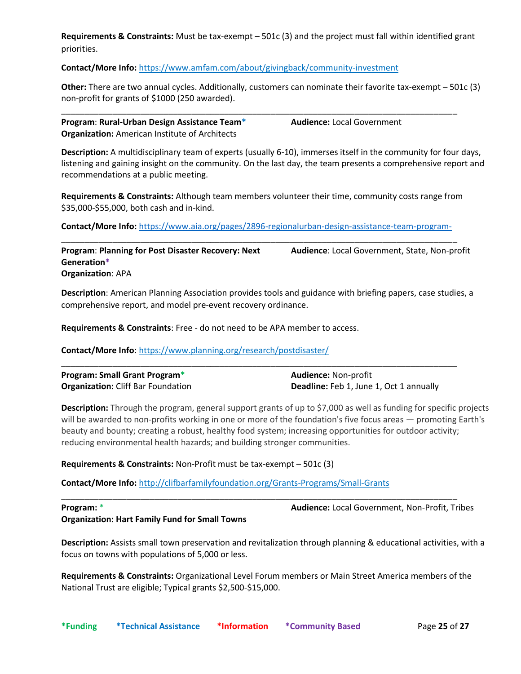**Requirements & Constraints:** Must be tax-exempt – 501c (3) and the project must fall within identified grant priorities.

**Contact/More Info:** <https://www.amfam.com/about/givingback/community-investment>

**Other:** There are two annual cycles. Additionally, customers can nominate their favorite tax-exempt – 501c (3) non-profit for grants of \$1000 (250 awarded).

\_\_\_\_\_\_\_\_\_\_\_\_\_\_\_\_\_\_\_\_\_\_\_\_\_\_\_\_\_\_\_\_\_\_\_\_\_\_\_\_\_\_\_\_\_\_\_\_\_\_\_\_\_\_\_\_\_\_\_\_\_\_\_\_\_\_\_\_\_\_\_\_\_\_\_\_\_\_\_\_\_\_\_\_\_

| Program: Rural-Urban Design Assistance Team*          |  |
|-------------------------------------------------------|--|
| <b>Organization:</b> American Institute of Architects |  |

**Audience:** Local Government

**Description:** A multidisciplinary team of experts (usually 6-10), immerses itself in the community for four days, listening and gaining insight on the community. On the last day, the team presents a comprehensive report and recommendations at a public meeting.

**Requirements & Constraints:** Although team members volunteer their time, community costs range from \$35,000-\$55,000, both cash and in-kind.

**Contact/More Info:** <https://www.aia.org/pages/2896-regionalurban-design-assistance-team-program-> \_\_\_\_\_\_\_\_\_\_\_\_\_\_\_\_\_\_\_\_\_\_\_\_\_\_\_\_\_\_\_\_\_\_\_\_\_\_\_\_\_\_\_\_\_\_\_\_\_\_\_\_\_\_\_\_\_\_\_\_\_\_\_\_\_\_\_\_\_\_\_\_\_\_\_\_\_\_\_\_\_\_\_\_\_

**Program**: **Planning for Post Disaster Recovery: Next Generation\* Organization**: APA **Audience**: Local Government, State, Non-profit

**Description**: American Planning Association provides tools and guidance with briefing papers, case studies, a comprehensive report, and model pre-event recovery ordinance.

**Requirements & Constraints**: Free - do not need to be APA member to access.

**Contact/More Info**:<https://www.planning.org/research/postdisaster/>

| <b>Program: Small Grant Program*</b>      | <b>Audience: Non-profit</b>             |
|-------------------------------------------|-----------------------------------------|
| <b>Organization:</b> Cliff Bar Foundation | Deadline: Feb 1, June 1, Oct 1 annually |

\_\_\_\_\_\_\_\_\_\_\_\_\_\_\_\_\_\_\_\_\_\_\_\_\_\_\_\_\_\_\_\_\_\_\_\_\_\_\_\_\_\_\_\_\_\_\_\_\_\_\_\_\_\_\_\_\_\_\_\_\_\_\_\_\_\_\_\_\_\_\_\_\_\_\_\_\_\_\_\_\_\_\_\_\_

**Description:** Through the program, general support grants of up to \$7,000 as well as funding for specific projects will be awarded to non-profits working in one or more of the foundation's five focus areas — promoting Earth's beauty and bounty; creating a robust, healthy food system; increasing opportunities for outdoor activity; reducing environmental health hazards; and building stronger communities.

### **Requirements & Constraints:** Non-Profit must be tax-exempt – 501c (3)

**Contact/More Info:** <http://clifbarfamilyfoundation.org/Grants-Programs/Small-Grants>

### **Program:** \* **Organization: Hart Family Fund for Small Towns**

**Audience:** Local Government, Non-Profit, Tribes

**Description:** Assists small town preservation and revitalization through planning & educational activities, with a focus on towns with populations of 5,000 or less.

\_\_\_\_\_\_\_\_\_\_\_\_\_\_\_\_\_\_\_\_\_\_\_\_\_\_\_\_\_\_\_\_\_\_\_\_\_\_\_\_\_\_\_\_\_\_\_\_\_\_\_\_\_\_\_\_\_\_\_\_\_\_\_\_\_\_\_\_\_\_\_\_\_\_\_\_\_\_\_\_\_\_\_\_\_

**Requirements & Constraints:** Organizational Level Forum members or Main Street America members of the National Trust are eligible; Typical grants \$2,500-\$15,000.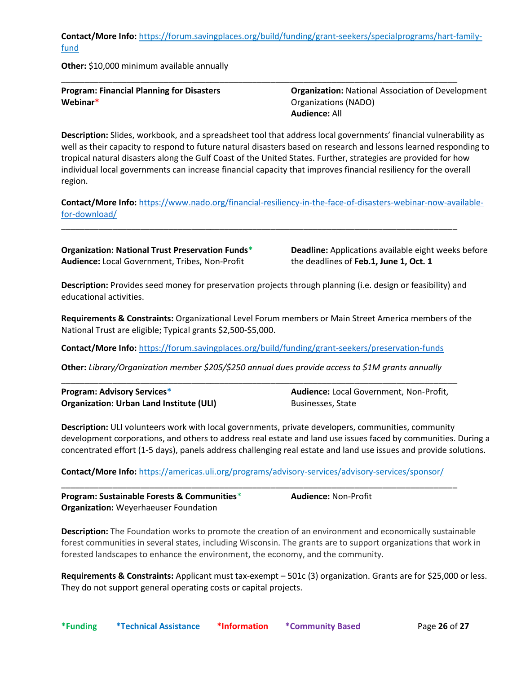**Contact/More Info:** [https://forum.savingplaces.org/build/funding/grant-seekers/specialprograms/hart-family](https://forum.savingplaces.org/build/funding/grant-seekers/specialprograms/hart-family-fund)[fund](https://forum.savingplaces.org/build/funding/grant-seekers/specialprograms/hart-family-fund)

\_\_\_\_\_\_\_\_\_\_\_\_\_\_\_\_\_\_\_\_\_\_\_\_\_\_\_\_\_\_\_\_\_\_\_\_\_\_\_\_\_\_\_\_\_\_\_\_\_\_\_\_\_\_\_\_\_\_\_\_\_\_\_\_\_\_\_\_\_\_\_\_\_\_\_\_\_\_\_\_\_\_\_\_\_

**Other:** \$10,000 minimum available annually

**Program: Financial Planning for Disasters Webinar\***

**Organization:** National Association of Development Organizations (NADO) **Audience:** All

**Description:** Slides, workbook, and a spreadsheet tool that address local governments' financial vulnerability as well as their capacity to respond to future natural disasters based on research and lessons learned responding to tropical natural disasters along the Gulf Coast of the United States. Further, strategies are provided for how individual local governments can increase financial capacity that improves financial resiliency for the overall region.

**Contact/More Info:** [https://www.nado.org/financial-resiliency-in-the-face-of-disasters-webinar-now-available](https://www.nado.org/financial-resiliency-in-the-face-of-disasters-webinar-now-available-for-download/)[for-download/](https://www.nado.org/financial-resiliency-in-the-face-of-disasters-webinar-now-available-for-download/)

\_\_\_\_\_\_\_\_\_\_\_\_\_\_\_\_\_\_\_\_\_\_\_\_\_\_\_\_\_\_\_\_\_\_\_\_\_\_\_\_\_\_\_\_\_\_\_\_\_\_\_\_\_\_\_\_\_\_\_\_\_\_\_\_\_\_\_\_\_\_\_\_\_\_\_\_\_\_\_\_\_\_\_\_\_

**Organization: National Trust Preservation Funds\* Audience:** Local Government, Tribes, Non-Profit

**Deadline:** Applications available eight weeks before the deadlines of **Feb.1, June 1, Oct. 1**

**Description:** Provides seed money for preservation projects through planning (i.e. design or feasibility) and educational activities.

**Requirements & Constraints:** Organizational Level Forum members or Main Street America members of the National Trust are eligible; Typical grants \$2,500-\$5,000.

**Contact/More Info:** <https://forum.savingplaces.org/build/funding/grant-seekers/preservation-funds>

**Other:** *Library/Organization member \$205/\$250 annual dues provide access to \$1M grants annually*

\_\_\_\_\_\_\_\_\_\_\_\_\_\_\_\_\_\_\_\_\_\_\_\_\_\_\_\_\_\_\_\_\_\_\_\_\_\_\_\_\_\_\_\_\_\_\_\_\_\_\_\_\_\_\_\_\_\_\_\_\_\_\_\_\_\_\_\_\_\_\_\_\_\_\_\_\_\_\_\_\_\_\_\_\_

| <b>Program: Advisory Services*</b>              |  |
|-------------------------------------------------|--|
| <b>Organization: Urban Land Institute (ULI)</b> |  |

**Audience:** Local Government, Non-Profit, Businesses, State

**Description:** ULI volunteers work with local governments, private developers, communities, community development corporations, and others to address real estate and land use issues faced by communities. During a concentrated effort (1-5 days), panels address challenging real estate and land use issues and provide solutions.

**Contact/More Info:** <https://americas.uli.org/programs/advisory-services/advisory-services/sponsor/>

| Program: Sustainable Forests & Communities*  | <b>Audience: Non-Profit</b> |  |
|----------------------------------------------|-----------------------------|--|
| <b>Organization:</b> Weyerhaeuser Foundation |                             |  |

**Description:** The Foundation works to promote the creation of an environment and economically sustainable forest communities in several states, including Wisconsin. The grants are to support organizations that work in forested landscapes to enhance the environment, the economy, and the community.

**Requirements & Constraints:** Applicant must tax-exempt – 501c (3) organization. Grants are for \$25,000 or less. They do not support general operating costs or capital projects.